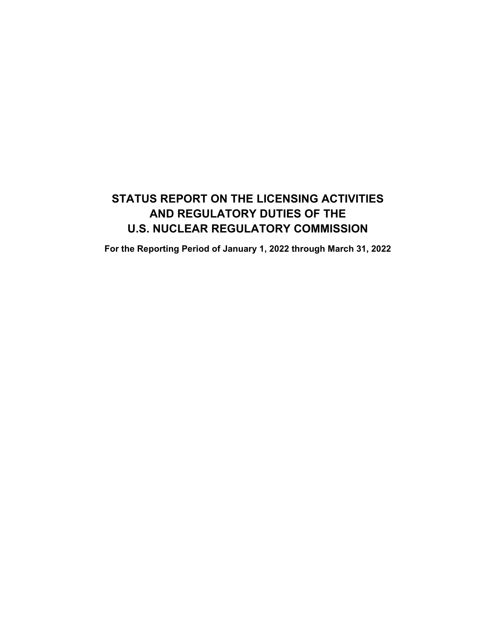# **STATUS REPORT ON THE LICENSING ACTIVITIES AND REGULATORY DUTIES OF THE U.S. NUCLEAR REGULATORY COMMISSION**

**For the Reporting Period of January 1, 2022 through March 31, 2022**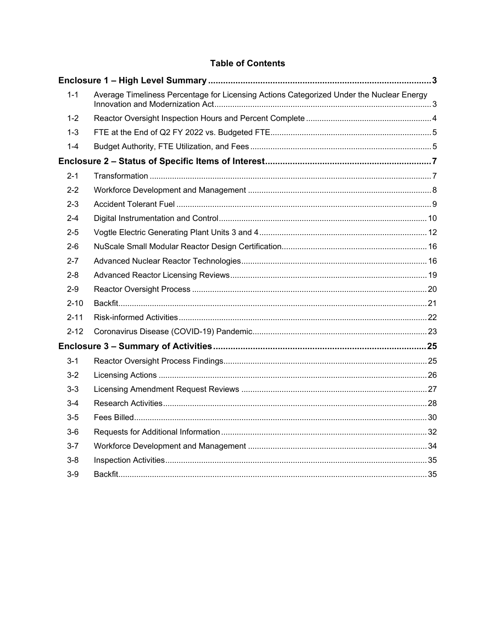# **Table of Contents**

| $1 - 1$  | Average Timeliness Percentage for Licensing Actions Categorized Under the Nuclear Energy |  |
|----------|------------------------------------------------------------------------------------------|--|
| $1 - 2$  |                                                                                          |  |
| $1 - 3$  |                                                                                          |  |
| $1 - 4$  |                                                                                          |  |
|          |                                                                                          |  |
| $2 - 1$  |                                                                                          |  |
| $2 - 2$  |                                                                                          |  |
| $2 - 3$  |                                                                                          |  |
| $2 - 4$  |                                                                                          |  |
| $2 - 5$  |                                                                                          |  |
| $2 - 6$  |                                                                                          |  |
| $2 - 7$  |                                                                                          |  |
| $2 - 8$  |                                                                                          |  |
| $2 - 9$  |                                                                                          |  |
| $2 - 10$ |                                                                                          |  |
| $2 - 11$ |                                                                                          |  |
| $2 - 12$ |                                                                                          |  |
|          |                                                                                          |  |
| $3 - 1$  |                                                                                          |  |
| $3 - 2$  |                                                                                          |  |
| $3-3$    |                                                                                          |  |
| $3 - 4$  |                                                                                          |  |
| $3 - 5$  |                                                                                          |  |
| $3-6$    |                                                                                          |  |
| $3 - 7$  |                                                                                          |  |
| $3 - 8$  |                                                                                          |  |
| $3-9$    |                                                                                          |  |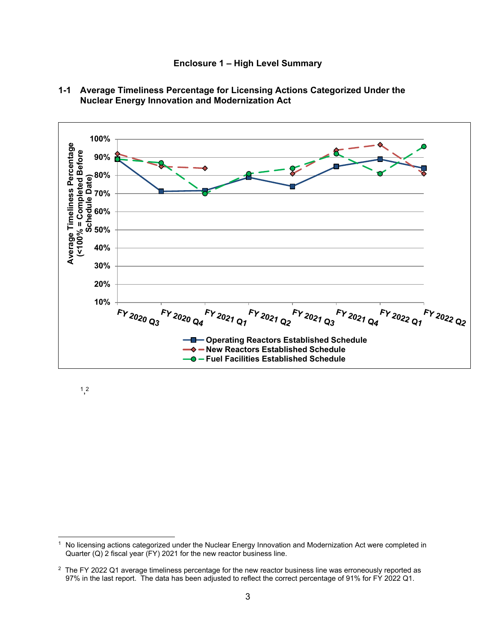**Enclosure 1 – High Level Summary** 



**1-1 Average Timeliness Percentage for Licensing Actions Categorized Under the Nuclear Energy Innovation and Modernization Act** 

1, 2

<sup>&</sup>lt;sup>1</sup> No licensing actions categorized under the Nuclear Energy Innovation and Modernization Act were completed in Quarter  $(Q)$  2 fiscal year  $(FY)$  2021 for the new reactor business line.

<sup>&</sup>lt;sup>2</sup> The FY 2022 Q1 average timeliness percentage for the new reactor business line was erroneously reported as 97% in the last report. The data has been adjusted to reflect the correct percentage of 91% for FY 2022 Q1.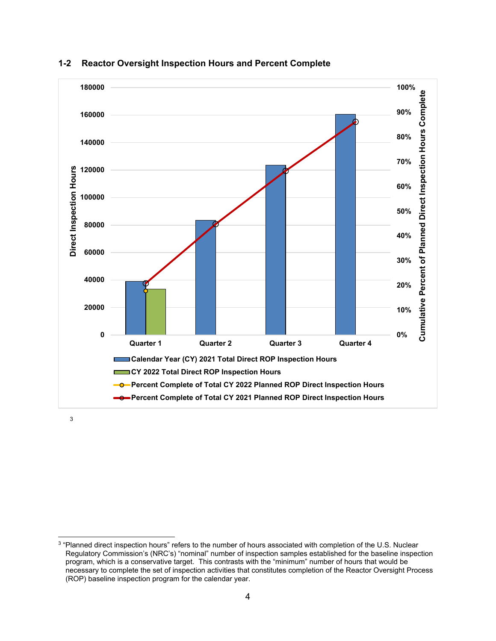

### **1-2 Reactor Oversight Inspection Hours and Percent Complete**

3

<sup>&</sup>lt;sup>3</sup> "Planned direct inspection hours" refers to the number of hours associated with completion of the U.S. Nuclear Regulatory Commission's (NRC's) "nominal" number of inspection samples established for the baseline inspection program, which is a conservative target. This contrasts with the "minimum" number of hours that would be necessary to complete the set of inspection activities that constitutes completion of the Reactor Oversight Process (ROP) baseline inspection program for the calendar year.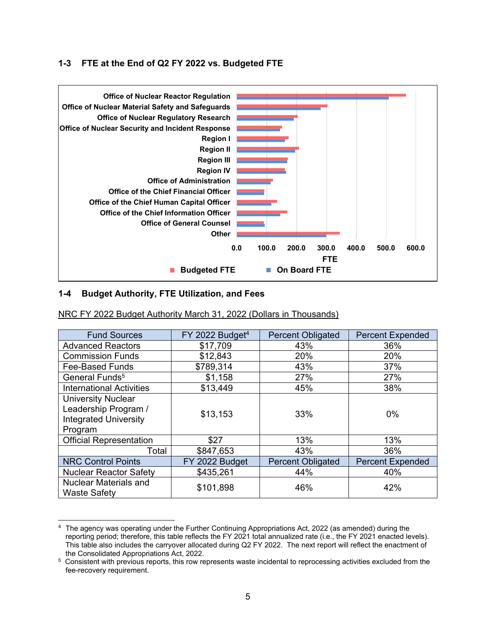### **1-3 FTE at the End of Q2 FY 2022 vs. Budgeted FTE**



### **1-4 Budget Authority, FTE Utilization, and Fees**

| <b>Fund Sources</b>                                                                          | FY 2022 Budget <sup>4</sup> | <b>Percent Obligated</b> | <b>Percent Expended</b> |
|----------------------------------------------------------------------------------------------|-----------------------------|--------------------------|-------------------------|
| <b>Advanced Reactors</b>                                                                     | \$17,709                    | 43%                      | 36%                     |
| <b>Commission Funds</b>                                                                      | \$12,843                    | 20%                      | 20%                     |
| <b>Fee-Based Funds</b>                                                                       | \$789,314                   | 43%                      | 37%                     |
| General Funds <sup>5</sup>                                                                   | \$1,158                     | 27%                      | 27%                     |
| <b>International Activities</b>                                                              | \$13,449                    | 45%                      | 38%                     |
| <b>University Nuclear</b><br>Leadership Program /<br><b>Integrated University</b><br>Program | \$13,153                    | 33%                      | $0\%$                   |
| <b>Official Representation</b>                                                               | \$27                        | 13%                      | 13%                     |
| Total                                                                                        | \$847,653                   | 43%                      | 36%                     |
| <b>NRC Control Points</b>                                                                    | FY 2022 Budget              | <b>Percent Obligated</b> | <b>Percent Expended</b> |
| <b>Nuclear Reactor Safety</b>                                                                | \$435,261                   | 44%                      | 40%                     |
| <b>Nuclear Materials and</b><br><b>Waste Safety</b>                                          | \$101,898                   | 46%                      | 42%                     |

#### NRC FY 2022 Budget Authority March 31, 2022 (Dollars in Thousands)

<sup>4</sup> The agency was operating under the Further Continuing Appropriations Act, 2022 (as amended) during the reporting period; therefore, this table reflects the FY 2021 total annualized rate (i.e., the FY 2021 enacted levels). This table also includes the carryover allocated during Q2 FY 2022. The next report will reflect the enactment of

the Consolidated Appropriations Act, 2022.<br><sup>5</sup> Consistent with previous reports, this row represents waste incidental to reprocessing activities excluded from the fee-recovery requirement.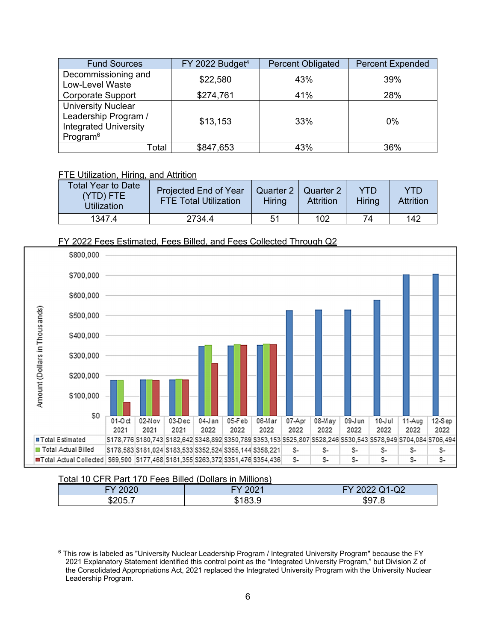| <b>Fund Sources</b>                                                                                       | FY 2022 Budget <sup>4</sup> | <b>Percent Obligated</b> | <b>Percent Expended</b> |
|-----------------------------------------------------------------------------------------------------------|-----------------------------|--------------------------|-------------------------|
| Decommissioning and<br>Low-Level Waste                                                                    | \$22,580                    | 43%                      | 39%                     |
| <b>Corporate Support</b>                                                                                  | \$274,761                   | 41%                      | 28%                     |
| <b>University Nuclear</b><br>Leadership Program /<br><b>Integrated University</b><br>Program <sup>6</sup> | \$13,153                    | 33%                      | $0\%$                   |
| Total                                                                                                     | \$847,653                   | 43%                      | 36%                     |

# FTE Utilization, Hiring, and Attrition

| Total Year to Date<br>(YTD) FTE<br>Utilization | Projected End of Year<br><b>FTE Total Utilization</b> | Quarter 2   Quarter 2<br>Hiring | <b>Attrition</b> | YTD<br>Hirina | YTD<br><b>Attrition</b> |
|------------------------------------------------|-------------------------------------------------------|---------------------------------|------------------|---------------|-------------------------|
| 1347.4                                         | 2734.4                                                | 51                              | 102              | 74            | 142                     |

# FY 2022 Fees Estimated, Fees Billed, and Fees Collected Through Q2



#### Total 10 CFR Part 170 Fees Billed (Dollars in Millions)

| 0.000<br>-1 | 0.004 | $\cap$<br>$-$<br><u>LVLL</u> |
|-------------|-------|------------------------------|
| u)z         | ۰D    | -<br>১৬                      |

<sup>6</sup> This row is labeled as "University Nuclear Leadership Program / Integrated University Program" because the FY 2021 Explanatory Statement identified this control point as the "Integrated University Program," but Division Z of the Consolidated Appropriations Act, 2021 replaced the Integrated University Program with the University Nuclear Leadership Program.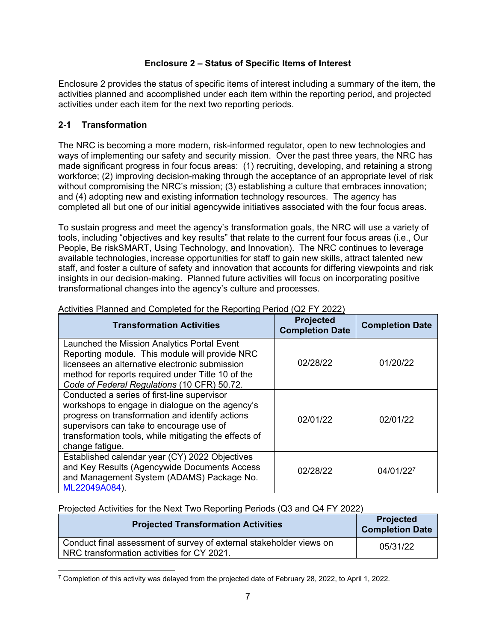# **Enclosure 2 – Status of Specific Items of Interest**

Enclosure 2 provides the status of specific items of interest including a summary of the item, the activities planned and accomplished under each item within the reporting period, and projected activities under each item for the next two reporting periods.

# **2-1 Transformation**

The NRC is becoming a more modern, risk-informed regulator, open to new technologies and ways of implementing our safety and security mission. Over the past three years, the NRC has made significant progress in four focus areas: (1) recruiting, developing, and retaining a strong workforce; (2) improving decision-making through the acceptance of an appropriate level of risk without compromising the NRC's mission; (3) establishing a culture that embraces innovation; and (4) adopting new and existing information technology resources. The agency has completed all but one of our initial agencywide initiatives associated with the four focus areas.

To sustain progress and meet the agency's transformation goals, the NRC will use a variety of tools, including "objectives and key results" that relate to the current four focus areas (i.e., Our People, Be riskSMART, Using Technology, and Innovation). The NRC continues to leverage available technologies, increase opportunities for staff to gain new skills, attract talented new staff, and foster a culture of safety and innovation that accounts for differing viewpoints and risk insights in our decision-making. Planned future activities will focus on incorporating positive transformational changes into the agency's culture and processes.

| <b>Transformation Activities</b>                                                                                                                                                                                                                                          | <b>Projected</b><br><b>Completion Date</b> | <b>Completion Date</b> |
|---------------------------------------------------------------------------------------------------------------------------------------------------------------------------------------------------------------------------------------------------------------------------|--------------------------------------------|------------------------|
| Launched the Mission Analytics Portal Event<br>Reporting module. This module will provide NRC<br>licensees an alternative electronic submission<br>method for reports required under Title 10 of the<br>Code of Federal Regulations (10 CFR) 50.72.                       | 02/28/22                                   | 01/20/22               |
| Conducted a series of first-line supervisor<br>workshops to engage in dialogue on the agency's<br>progress on transformation and identify actions<br>supervisors can take to encourage use of<br>transformation tools, while mitigating the effects of<br>change fatigue. | 02/01/22                                   | 02/01/22               |
| Established calendar year (CY) 2022 Objectives<br>and Key Results (Agencywide Documents Access<br>and Management System (ADAMS) Package No.<br>ML22049A084).                                                                                                              | 02/28/22                                   | 04/01/227              |

### Activities Planned and Completed for the Reporting Period (Q2 FY 2022)

| <b>Projected Transformation Activities</b>                                                                        | <b>Projected</b><br><b>Completion Date</b> |
|-------------------------------------------------------------------------------------------------------------------|--------------------------------------------|
| Conduct final assessment of survey of external stakeholder views on<br>NRC transformation activities for CY 2021. | 05/31/22                                   |

 $7$  Completion of this activity was delayed from the projected date of February 28, 2022, to April 1, 2022.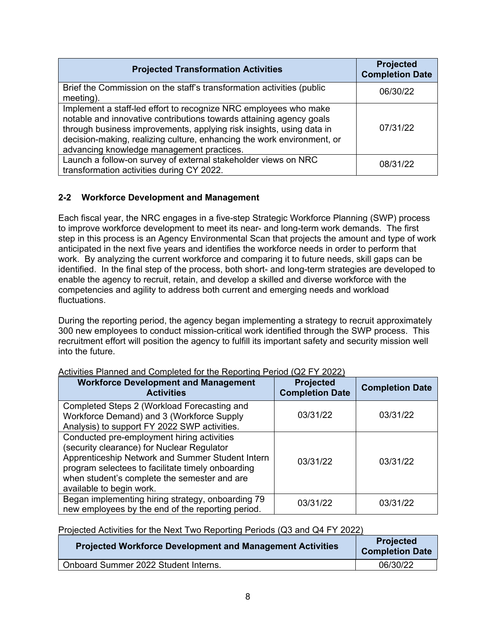| <b>Projected Transformation Activities</b>                                                                                                                                                                                                                                                                                             | <b>Projected</b><br><b>Completion Date</b> |
|----------------------------------------------------------------------------------------------------------------------------------------------------------------------------------------------------------------------------------------------------------------------------------------------------------------------------------------|--------------------------------------------|
| Brief the Commission on the staff's transformation activities (public<br>$meeting$ ).                                                                                                                                                                                                                                                  | 06/30/22                                   |
| Implement a staff-led effort to recognize NRC employees who make<br>notable and innovative contributions towards attaining agency goals<br>through business improvements, applying risk insights, using data in<br>decision-making, realizing culture, enhancing the work environment, or<br>advancing knowledge management practices. | 07/31/22                                   |
| Launch a follow-on survey of external stakeholder views on NRC<br>transformation activities during CY 2022.                                                                                                                                                                                                                            | 08/31/22                                   |

# **2-2 Workforce Development and Management**

Each fiscal year, the NRC engages in a five-step Strategic Workforce Planning (SWP) process to improve workforce development to meet its near- and long-term work demands. The first step in this process is an Agency Environmental Scan that projects the amount and type of work anticipated in the next five years and identifies the workforce needs in order to perform that work. By analyzing the current workforce and comparing it to future needs, skill gaps can be identified. In the final step of the process, both short- and long-term strategies are developed to enable the agency to recruit, retain, and develop a skilled and diverse workforce with the competencies and agility to address both current and emerging needs and workload fluctuations.

During the reporting period, the agency began implementing a strategy to recruit approximately 300 new employees to conduct mission-critical work identified through the SWP process. This recruitment effort will position the agency to fulfill its important safety and security mission well into the future.

| <b>Workforce Development and Management</b><br><b>Activities</b>                                                                                                                                                                                                              | <b>Projected</b><br><b>Completion Date</b> | <b>Completion Date</b> |
|-------------------------------------------------------------------------------------------------------------------------------------------------------------------------------------------------------------------------------------------------------------------------------|--------------------------------------------|------------------------|
| Completed Steps 2 (Workload Forecasting and<br>Workforce Demand) and 3 (Workforce Supply<br>Analysis) to support FY 2022 SWP activities.                                                                                                                                      | 03/31/22                                   | 03/31/22               |
| Conducted pre-employment hiring activities<br>(security clearance) for Nuclear Regulator<br>Apprenticeship Network and Summer Student Intern<br>program selectees to facilitate timely onboarding<br>when student's complete the semester and are<br>available to begin work. | 03/31/22                                   | 03/31/22               |
| Began implementing hiring strategy, onboarding 79<br>new employees by the end of the reporting period.                                                                                                                                                                        | 03/31/22                                   | 03/31/22               |

#### Activities Planned and Completed for the Reporting Period (Q2 FY 2022)

| <b>Projected Workforce Development and Management Activities</b> | <b>Projected</b><br><b>Completion Date</b> |
|------------------------------------------------------------------|--------------------------------------------|
| Onboard Summer 2022 Student Interns.                             | 06/30/22                                   |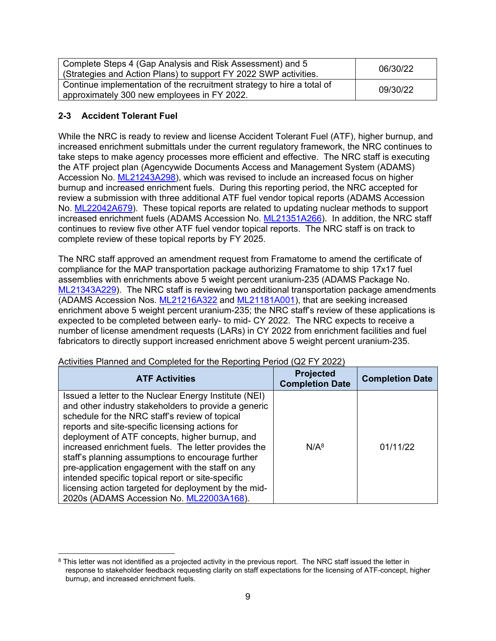| Complete Steps 4 (Gap Analysis and Risk Assessment) and 5<br>(Strategies and Action Plans) to support FY 2022 SWP activities. | 06/30/22 |
|-------------------------------------------------------------------------------------------------------------------------------|----------|
| Continue implementation of the recruitment strategy to hire a total of<br>approximately 300 new employees in FY 2022.         | 09/30/22 |

# **2-3 Accident Tolerant Fuel**

While the NRC is ready to review and license Accident Tolerant Fuel (ATF), higher burnup, and increased enrichment submittals under the current regulatory framework, the NRC continues to take steps to make agency processes more efficient and effective. The NRC staff is executing the ATF project plan (Agencywide Documents Access and Management System (ADAMS) Accession No. ML21243A298), which was revised to include an increased focus on higher burnup and increased enrichment fuels. During this reporting period, the NRC accepted for review a submission with three additional ATF fuel vendor topical reports (ADAMS Accession No. ML22042A679). These topical reports are related to updating nuclear methods to support increased enrichment fuels (ADAMS Accession No. ML21351A266). In addition, the NRC staff continues to review five other ATF fuel vendor topical reports. The NRC staff is on track to complete review of these topical reports by FY 2025.

The NRC staff approved an amendment request from Framatome to amend the certificate of compliance for the MAP transportation package authorizing Framatome to ship 17x17 fuel assemblies with enrichments above 5 weight percent uranium-235 (ADAMS Package No. ML21343A229). The NRC staff is reviewing two additional transportation package amendments (ADAMS Accession Nos. ML21216A322 and ML21181A001), that are seeking increased enrichment above 5 weight percent uranium-235; the NRC staff's review of these applications is expected to be completed between early- to mid- CY 2022. The NRC expects to receive a number of license amendment requests (LARs) in CY 2022 from enrichment facilities and fuel fabricators to directly support increased enrichment above 5 weight percent uranium-235.

| <b>ATF Activities</b>                                                                                                                                                                                                                                                                                                                                                                                                                                                                                                                                                                         | <b>Projected</b><br><b>Completion Date</b> | <b>Completion Date</b> |
|-----------------------------------------------------------------------------------------------------------------------------------------------------------------------------------------------------------------------------------------------------------------------------------------------------------------------------------------------------------------------------------------------------------------------------------------------------------------------------------------------------------------------------------------------------------------------------------------------|--------------------------------------------|------------------------|
| Issued a letter to the Nuclear Energy Institute (NEI)<br>and other industry stakeholders to provide a generic<br>schedule for the NRC staff's review of topical<br>reports and site-specific licensing actions for<br>deployment of ATF concepts, higher burnup, and<br>increased enrichment fuels. The letter provides the<br>staff's planning assumptions to encourage further<br>pre-application engagement with the staff on any<br>intended specific topical report or site-specific<br>licensing action targeted for deployment by the mid-<br>2020s (ADAMS Accession No. ML22003A168). | $N/A^8$                                    | 01/11/22               |

Activities Planned and Completed for the Reporting Period (Q2 FY 2022)

<sup>&</sup>lt;sup>8</sup> This letter was not identified as a projected activity in the previous report. The NRC staff issued the letter in response to stakeholder feedback requesting clarity on staff expectations for the licensing of ATF-concept, higher burnup, and increased enrichment fuels.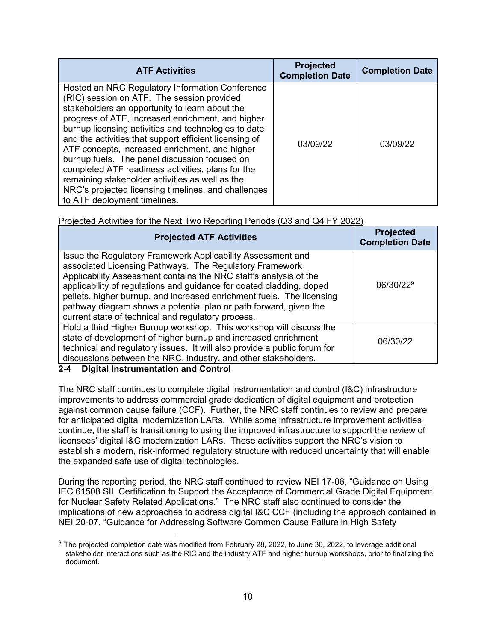| <b>ATF Activities</b>                                                                                                                                                                                                                                                                                                                                                                                                                                                                                                                                                                                                    | <b>Projected</b><br><b>Completion Date</b> | <b>Completion Date</b> |
|--------------------------------------------------------------------------------------------------------------------------------------------------------------------------------------------------------------------------------------------------------------------------------------------------------------------------------------------------------------------------------------------------------------------------------------------------------------------------------------------------------------------------------------------------------------------------------------------------------------------------|--------------------------------------------|------------------------|
| Hosted an NRC Regulatory Information Conference<br>(RIC) session on ATF. The session provided<br>stakeholders an opportunity to learn about the<br>progress of ATF, increased enrichment, and higher<br>burnup licensing activities and technologies to date<br>and the activities that support efficient licensing of<br>ATF concepts, increased enrichment, and higher<br>burnup fuels. The panel discussion focused on<br>completed ATF readiness activities, plans for the<br>remaining stakeholder activities as well as the<br>NRC's projected licensing timelines, and challenges<br>to ATF deployment timelines. | 03/09/22                                   | 03/09/22               |

# Projected Activities for the Next Two Reporting Periods (Q3 and Q4 FY 2022)

| <b>Projected ATF Activities</b>                                                                                                                                                                                                                                                                                                                                                                                                                                         | <b>Projected</b><br><b>Completion Date</b> |
|-------------------------------------------------------------------------------------------------------------------------------------------------------------------------------------------------------------------------------------------------------------------------------------------------------------------------------------------------------------------------------------------------------------------------------------------------------------------------|--------------------------------------------|
| Issue the Regulatory Framework Applicability Assessment and<br>associated Licensing Pathways. The Regulatory Framework<br>Applicability Assessment contains the NRC staff's analysis of the<br>applicability of regulations and guidance for coated cladding, doped<br>pellets, higher burnup, and increased enrichment fuels. The licensing<br>pathway diagram shows a potential plan or path forward, given the<br>current state of technical and regulatory process. | 06/30/22 <sup>9</sup>                      |
| Hold a third Higher Burnup workshop. This workshop will discuss the<br>state of development of higher burnup and increased enrichment<br>technical and regulatory issues. It will also provide a public forum for<br>discussions between the NRC, industry, and other stakeholders.                                                                                                                                                                                     | 06/30/22                                   |

# **2-4 Digital Instrumentation and Control**

The NRC staff continues to complete digital instrumentation and control (I&C) infrastructure improvements to address commercial grade dedication of digital equipment and protection against common cause failure (CCF). Further, the NRC staff continues to review and prepare for anticipated digital modernization LARs. While some infrastructure improvement activities continue, the staff is transitioning to using the improved infrastructure to support the review of licensees' digital I&C modernization LARs. These activities support the NRC's vision to establish a modern, risk-informed regulatory structure with reduced uncertainty that will enable the expanded safe use of digital technologies.

During the reporting period, the NRC staff continued to review NEI 17-06, "Guidance on Using IEC 61508 SIL Certification to Support the Acceptance of Commercial Grade Digital Equipment for Nuclear Safety Related Applications." The NRC staff also continued to consider the implications of new approaches to address digital I&C CCF (including the approach contained in NEI 20-07, "Guidance for Addressing Software Common Cause Failure in High Safety

<sup>&</sup>lt;sup>9</sup> The projected completion date was modified from February 28, 2022, to June 30, 2022, to leverage additional stakeholder interactions such as the RIC and the industry ATF and higher burnup workshops, prior to finalizing the document.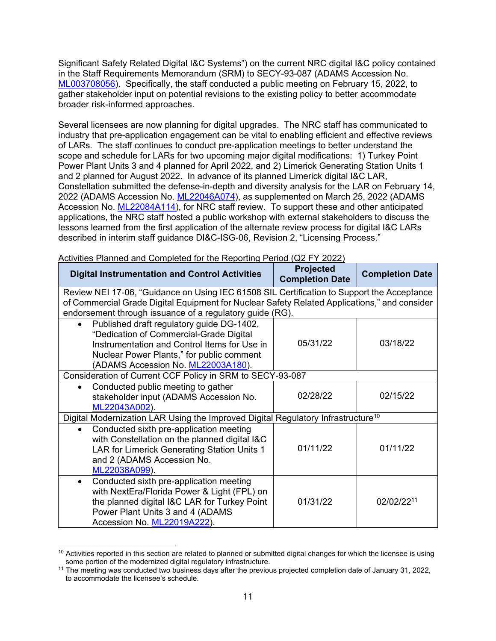Significant Safety Related Digital I&C Systems") on the current NRC digital I&C policy contained in the Staff Requirements Memorandum (SRM) to SECY-93-087 (ADAMS Accession No. ML003708056). Specifically, the staff conducted a public meeting on February 15, 2022, to gather stakeholder input on potential revisions to the existing policy to better accommodate broader risk-informed approaches.

Several licensees are now planning for digital upgrades. The NRC staff has communicated to industry that pre-application engagement can be vital to enabling efficient and effective reviews of LARs. The staff continues to conduct pre-application meetings to better understand the scope and schedule for LARs for two upcoming major digital modifications: 1) Turkey Point Power Plant Units 3 and 4 planned for April 2022, and 2) Limerick Generating Station Units 1 and 2 planned for August 2022. In advance of its planned Limerick digital I&C LAR, Constellation submitted the defense-in-depth and diversity analysis for the LAR on February 14, 2022 (ADAMS Accession No. ML22046A074), as supplemented on March 25, 2022 (ADAMS Accession No. ML22084A114), for NRC staff review. To support these and other anticipated applications, the NRC staff hosted a public workshop with external stakeholders to discuss the lessons learned from the first application of the alternate review process for digital I&C LARs described in interim staff guidance DI&C-ISG-06, Revision 2, "Licensing Process."

| <b>Digital Instrumentation and Control Activities</b>                                                                                                                                                                                                  | <b>Projected</b><br><b>Completion Date</b> | <b>Completion Date</b> |
|--------------------------------------------------------------------------------------------------------------------------------------------------------------------------------------------------------------------------------------------------------|--------------------------------------------|------------------------|
| Review NEI 17-06, "Guidance on Using IEC 61508 SIL Certification to Support the Acceptance<br>of Commercial Grade Digital Equipment for Nuclear Safety Related Applications," and consider<br>endorsement through issuance of a regulatory guide (RG). |                                            |                        |
| Published draft regulatory guide DG-1402,<br>$\bullet$<br>"Dedication of Commercial-Grade Digital<br>Instrumentation and Control Items for Use in<br>Nuclear Power Plants," for public comment<br>(ADAMS Accession No. ML22003A180).                   | 05/31/22                                   | 03/18/22               |
| Consideration of Current CCF Policy in SRM to SECY-93-087                                                                                                                                                                                              |                                            |                        |
| Conducted public meeting to gather<br>stakeholder input (ADAMS Accession No.<br>ML22043A002).                                                                                                                                                          | 02/28/22                                   | 02/15/22               |
| Digital Modernization LAR Using the Improved Digital Regulatory Infrastructure <sup>10</sup>                                                                                                                                                           |                                            |                        |
| Conducted sixth pre-application meeting<br>with Constellation on the planned digital I&C<br>LAR for Limerick Generating Station Units 1<br>and 2 (ADAMS Accession No.<br>ML22038A099).                                                                 | 01/11/22                                   | 01/11/22               |
| Conducted sixth pre-application meeting<br>$\bullet$<br>with NextEra/Florida Power & Light (FPL) on<br>the planned digital I&C LAR for Turkey Point<br>Power Plant Units 3 and 4 (ADAMS<br>Accession No. ML22019A222).                                 | 01/31/22                                   | 02/02/2211             |

Activities Planned and Completed for the Reporting Period (Q2 FY 2022)

 $10$  Activities reported in this section are related to planned or submitted digital changes for which the licensee is using some portion of the modernized digital regulatory infrastructure.<br><sup>11</sup> The meeting was conducted two business days after the previous projected completion date of January 31, 2022,

to accommodate the licensee's schedule.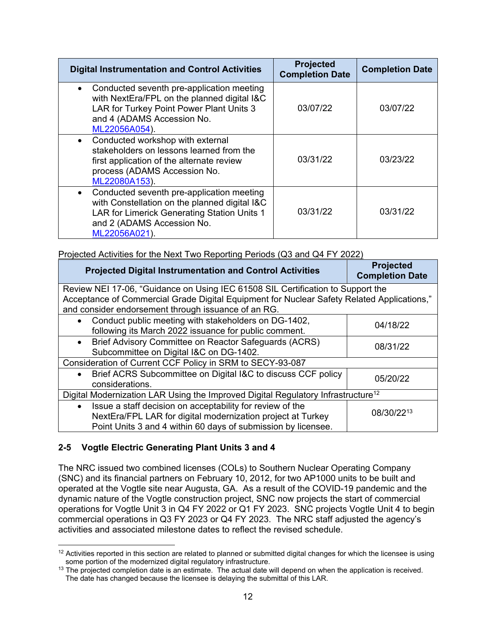| <b>Digital Instrumentation and Control Activities</b>                                                                                                                                    | <b>Projected</b><br><b>Completion Date</b> | <b>Completion Date</b> |
|------------------------------------------------------------------------------------------------------------------------------------------------------------------------------------------|--------------------------------------------|------------------------|
| Conducted seventh pre-application meeting<br>with NextEra/FPL on the planned digital I&C<br>LAR for Turkey Point Power Plant Units 3<br>and 4 (ADAMS Accession No.<br>ML22056A054).      | 03/07/22                                   | 03/07/22               |
| Conducted workshop with external<br>stakeholders on lessons learned from the<br>first application of the alternate review<br>process (ADAMS Accession No.<br>ML22080A153).               | 03/31/22                                   | 03/23/22               |
| Conducted seventh pre-application meeting<br>with Constellation on the planned digital I&C<br>LAR for Limerick Generating Station Units 1<br>and 2 (ADAMS Accession No.<br>ML22056A021). | 03/31/22                                   | 03/31/22               |

|  |  | Projected Activities for the Next Two Reporting Periods (Q3 and Q4 FY 2022) |
|--|--|-----------------------------------------------------------------------------|
|  |  |                                                                             |

| <b>Projected Digital Instrumentation and Control Activities</b>                              | <b>Projected</b><br><b>Completion Date</b> |  |
|----------------------------------------------------------------------------------------------|--------------------------------------------|--|
| Review NEI 17-06, "Guidance on Using IEC 61508 SIL Certification to Support the              |                                            |  |
| Acceptance of Commercial Grade Digital Equipment for Nuclear Safety Related Applications,"   |                                            |  |
| and consider endorsement through issuance of an RG.                                          |                                            |  |
| Conduct public meeting with stakeholders on DG-1402,<br>$\bullet$                            | 04/18/22                                   |  |
| following its March 2022 issuance for public comment.                                        |                                            |  |
| Brief Advisory Committee on Reactor Safeguards (ACRS)<br>$\bullet$                           | 08/31/22                                   |  |
| Subcommittee on Digital I&C on DG-1402.                                                      |                                            |  |
| Consideration of Current CCF Policy in SRM to SECY-93-087                                    |                                            |  |
| Brief ACRS Subcommittee on Digital I&C to discuss CCF policy<br>$\bullet$                    | 05/20/22                                   |  |
| considerations.                                                                              |                                            |  |
| Digital Modernization LAR Using the Improved Digital Regulatory Infrastructure <sup>12</sup> |                                            |  |
| Issue a staff decision on acceptability for review of the<br>$\bullet$                       |                                            |  |
| 08/30/2213<br>NextEra/FPL LAR for digital modernization project at Turkey                    |                                            |  |
| Point Units 3 and 4 within 60 days of submission by licensee.                                |                                            |  |

# **2-5 Vogtle Electric Generating Plant Units 3 and 4**

The NRC issued two combined licenses (COLs) to Southern Nuclear Operating Company (SNC) and its financial partners on February 10, 2012, for two AP1000 units to be built and operated at the Vogtle site near Augusta, GA. As a result of the COVID-19 pandemic and the dynamic nature of the Vogtle construction project, SNC now projects the start of commercial operations for Vogtle Unit 3 in Q4 FY 2022 or Q1 FY 2023. SNC projects Vogtle Unit 4 to begin commercial operations in Q3 FY 2023 or Q4 FY 2023. The NRC staff adjusted the agency's activities and associated milestone dates to reflect the revised schedule.

 $12$  Activities reported in this section are related to planned or submitted digital changes for which the licensee is using some portion of the modernized digital regulatory infrastructure.

 $13$  The projected completion date is an estimate. The actual date will depend on when the application is received. The date has changed because the licensee is delaying the submittal of this LAR.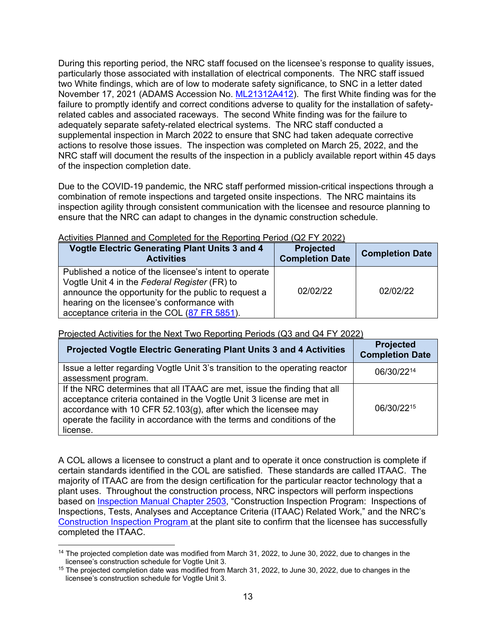During this reporting period, the NRC staff focused on the licensee's response to quality issues, particularly those associated with installation of electrical components. The NRC staff issued two White findings, which are of low to moderate safety significance, to SNC in a letter dated November 17, 2021 (ADAMS Accession No. ML21312A412). The first White finding was for the failure to promptly identify and correct conditions adverse to quality for the installation of safetyrelated cables and associated raceways. The second White finding was for the failure to adequately separate safety-related electrical systems. The NRC staff conducted a supplemental inspection in March 2022 to ensure that SNC had taken adequate corrective actions to resolve those issues. The inspection was completed on March 25, 2022, and the NRC staff will document the results of the inspection in a publicly available report within 45 days of the inspection completion date.

Due to the COVID-19 pandemic, the NRC staff performed mission-critical inspections through a combination of remote inspections and targeted onsite inspections. The NRC maintains its inspection agility through consistent communication with the licensee and resource planning to ensure that the NRC can adapt to changes in the dynamic construction schedule.

| Activities Flatified and Completed for the Reporting Ferrod (QZ FT 2022)                                                                                                                                                                                      |                                            |                        |
|---------------------------------------------------------------------------------------------------------------------------------------------------------------------------------------------------------------------------------------------------------------|--------------------------------------------|------------------------|
| <b>Vogtle Electric Generating Plant Units 3 and 4</b><br><b>Activities</b>                                                                                                                                                                                    | <b>Projected</b><br><b>Completion Date</b> | <b>Completion Date</b> |
| Published a notice of the licensee's intent to operate<br>Vogtle Unit 4 in the Federal Register (FR) to<br>announce the opportunity for the public to request a<br>hearing on the licensee's conformance with<br>acceptance criteria in the COL (87 FR 5851). | 02/02/22                                   | 02/02/22               |

Activities Planned and Completed for the Reporting Period (Q2 FY 2022)

| Projected Vogtle Electric Generating Plant Units 3 and 4 Activities                                                                                                                                                                                                                                            | <b>Projected</b><br><b>Completion Date</b> |
|----------------------------------------------------------------------------------------------------------------------------------------------------------------------------------------------------------------------------------------------------------------------------------------------------------------|--------------------------------------------|
| Issue a letter regarding Vogtle Unit 3's transition to the operating reactor<br>assessment program.                                                                                                                                                                                                            | 06/30/2214                                 |
| If the NRC determines that all ITAAC are met, issue the finding that all<br>acceptance criteria contained in the Vogtle Unit 3 license are met in<br>accordance with 10 CFR 52.103 $(g)$ , after which the licensee may<br>operate the facility in accordance with the terms and conditions of the<br>license. | 06/30/2215                                 |

Projected Activities for the Next Two Reporting Periods (Q3 and Q4 FY 2022)

A COL allows a licensee to construct a plant and to operate it once construction is complete if certain standards identified in the COL are satisfied. These standards are called ITAAC. The majority of ITAAC are from the design certification for the particular reactor technology that a plant uses. Throughout the construction process, NRC inspectors will perform inspections based on Inspection Manual Chapter 2503, "Construction Inspection Program: Inspections of Inspections, Tests, Analyses and Acceptance Criteria (ITAAC) Related Work," and the NRC's Construction Inspection Program at the plant site to confirm that the licensee has successfully completed the ITAAC.

<sup>&</sup>lt;sup>14</sup> The projected completion date was modified from March 31, 2022, to June 30, 2022, due to changes in the licensee's construction schedule for Vogtle Unit 3.<br><sup>15</sup> The projected completion date was modified from March 31, 2022, to June 30, 2022, due to changes in the

licensee's construction schedule for Vogtle Unit 3.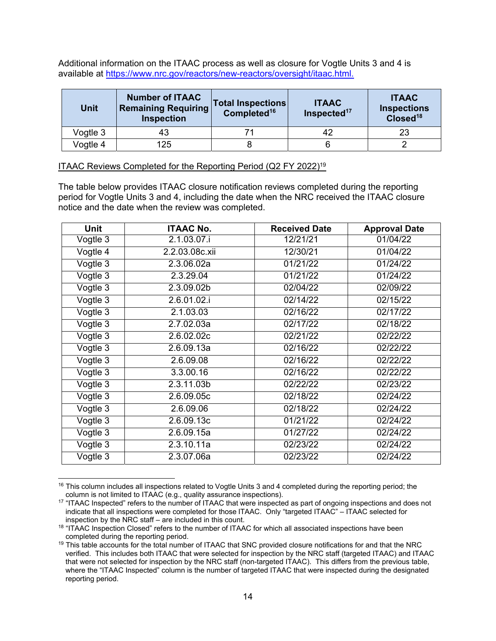Additional information on the ITAAC process as well as closure for Vogtle Units 3 and 4 is available at https://www.nrc.gov/reactors/new-reactors/oversight/itaac.html.

| <b>Unit</b> | <b>Number of ITAAC</b><br><b>Remaining Requiring</b><br><b>Inspection</b> | <b>Total Inspections</b><br>Completed <sup>16</sup> | <b>ITAAC</b><br>Inspected <sup>17</sup> | <b>ITAAC</b><br><b>Inspections</b><br>Closed <sup>18</sup> |
|-------------|---------------------------------------------------------------------------|-----------------------------------------------------|-----------------------------------------|------------------------------------------------------------|
| Vogtle 3    | 43                                                                        |                                                     | 42                                      | 23                                                         |
| Vogtle 4    | 125                                                                       |                                                     |                                         |                                                            |

#### ITAAC Reviews Completed for the Reporting Period (Q2 FY 2022)19

The table below provides ITAAC closure notification reviews completed during the reporting period for Vogtle Units 3 and 4, including the date when the NRC received the ITAAC closure notice and the date when the review was completed.

| <b>Unit</b> | <b>ITAAC No.</b> | <b>Received Date</b> | <b>Approval Date</b> |
|-------------|------------------|----------------------|----------------------|
| Vogtle 3    | 2.1.03.07.i      | 12/21/21             | 01/04/22             |
| Vogtle 4    | 2.2.03.08c.xii   | 12/30/21             | 01/04/22             |
| Vogtle 3    | 2.3.06.02a       | 01/21/22             | 01/24/22             |
| Vogtle 3    | 2.3.29.04        | 01/21/22             | 01/24/22             |
| Vogtle 3    | 2.3.09.02b       | 02/04/22             | 02/09/22             |
| Vogtle 3    | 2.6.01.02.i      | 02/14/22             | 02/15/22             |
| Vogtle 3    | 2.1.03.03        | 02/16/22             | 02/17/22             |
| Vogtle 3    | 2.7.02.03a       | 02/17/22             | 02/18/22             |
| Vogtle 3    | 2.6.02.02c       | 02/21/22             | 02/22/22             |
| Vogtle 3    | 2.6.09.13a       | 02/16/22             | 02/22/22             |
| Vogtle 3    | 2.6.09.08        | 02/16/22             | 02/22/22             |
| Vogtle 3    | 3.3.00.16        | 02/16/22             | 02/22/22             |
| Vogtle 3    | 2.3.11.03b       | 02/22/22             | 02/23/22             |
| $Vogtle$ 3  | 2.6.09.05c       | 02/18/22             | 02/24/22             |
| Vogtle 3    | 2.6.09.06        | 02/18/22             | 02/24/22             |
| Vogtle 3    | 2.6.09.13c       | 01/21/22             | 02/24/22             |
| Vogtle 3    | 2.6.09.15a       | 01/27/22             | 02/24/22             |
| Vogtle 3    | 2.3.10.11a       | 02/23/22             | 02/24/22             |
| Vogtle 3    | 2.3.07.06a       | 02/23/22             | 02/24/22             |

<sup>&</sup>lt;sup>16</sup> This column includes all inspections related to Vogtle Units 3 and 4 completed during the reporting period; the column is not limited to ITAAC (e.g., quality assurance inspections).

<sup>&</sup>lt;sup>17</sup> "ITAAC Inspected" refers to the number of ITAAC that were inspected as part of ongoing inspections and does not indicate that all inspections were completed for those ITAAC. Only "targeted ITAAC" – ITAAC selected for inspection by the NRC staff – are included in this count.

 $18$  "ITAAC Inspection Closed" refers to the number of ITAAC for which all associated inspections have been completed during the reporting period.<br><sup>19</sup> This table accounts for the total number of ITAAC that SNC provided closure notifications for and that the NRC

verified. This includes both ITAAC that were selected for inspection by the NRC staff (targeted ITAAC) and ITAAC that were not selected for inspection by the NRC staff (non-targeted ITAAC). This differs from the previous table, where the "ITAAC Inspected" column is the number of targeted ITAAC that were inspected during the designated reporting period.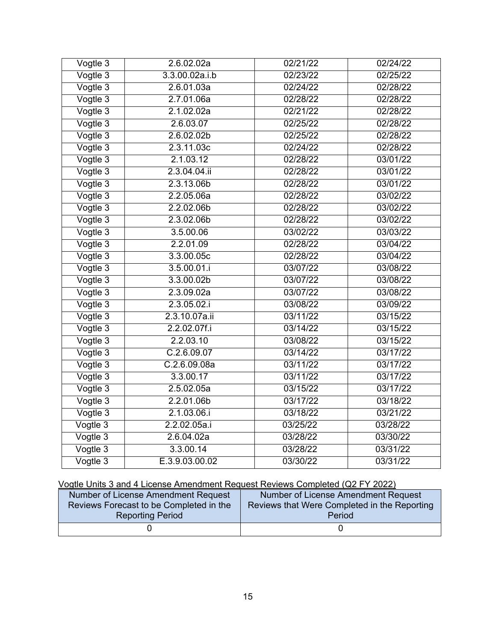| Vogtle 3    | 2.6.02.02a             | 02/21/22 | 02/24/22 |
|-------------|------------------------|----------|----------|
| Vogtle 3    | 3.3.00.02a.i.b         | 02/23/22 | 02/25/22 |
| Vogtle 3    | 2.6.01.03a             | 02/24/22 | 02/28/22 |
| Vogtle 3    | 2.7.01.06a             | 02/28/22 | 02/28/22 |
| Vogtle 3    | 2.1.02.02a             | 02/21/22 | 02/28/22 |
| Vogtle 3    | 2.6.03.07              | 02/25/22 | 02/28/22 |
| Vogtle 3    | 2.6.02.02b             | 02/25/22 | 02/28/22 |
| Vogtle 3    | 2.3.11.03c             | 02/24/22 | 02/28/22 |
| $V$ ogtle 3 | 2.1.03.12              | 02/28/22 | 03/01/22 |
| Vogtle 3    | 2.3.04.04.ii           | 02/28/22 | 03/01/22 |
| Vogtle 3    | 2.3.13.06b             | 02/28/22 | 03/01/22 |
| Vogtle 3    | 2.2.05.06a             | 02/28/22 | 03/02/22 |
| Vogtle 3    | 2.2.02.06b             | 02/28/22 | 03/02/22 |
| Vogtle 3    | 2.3.02.06b             | 02/28/22 | 03/02/22 |
| Vogtle 3    | 3.5.00.06              | 03/02/22 | 03/03/22 |
| Vogtle 3    | 2.2.01.09              | 02/28/22 | 03/04/22 |
| Vogtle 3    | 3.3.00.05c             | 02/28/22 | 03/04/22 |
| Vogtle 3    | 3.5.00.01.i            | 03/07/22 | 03/08/22 |
| Vogtle 3    | 3.3.00.02 <sub>b</sub> | 03/07/22 | 03/08/22 |
| Vogtle 3    | 2.3.09.02a             | 03/07/22 | 03/08/22 |
| Vogtle 3    | 2.3.05.02.i            | 03/08/22 | 03/09/22 |
| Vogtle 3    | 2.3.10.07a.ii          | 03/11/22 | 03/15/22 |
| $V$ ogtle 3 | 2.2.02.07f.i           | 03/14/22 | 03/15/22 |
| Vogtle 3    | 2.2.03.10              | 03/08/22 | 03/15/22 |
| Vogtle 3    | C.2.6.09.07            | 03/14/22 | 03/17/22 |
| Vogtle 3    | C.2.6.09.08a           | 03/11/22 | 03/17/22 |
| Vogtle 3    | 3.3.00.17              | 03/11/22 | 03/17/22 |
| Vogtle 3    | 2.5.02.05a             | 03/15/22 | 03/17/22 |
| Vogtle 3    | 2.2.01.06b             | 03/17/22 | 03/18/22 |
| Vogtle 3    | 2.1.03.06.i            | 03/18/22 | 03/21/22 |
| Vogtle 3    | 2.2.02.05a.i           | 03/25/22 | 03/28/22 |
| Vogtle 3    | 2.6.04.02a             | 03/28/22 | 03/30/22 |
| Vogtle 3    | 3.3.00.14              | 03/28/22 | 03/31/22 |
| Vogtle 3    | E.3.9.03.00.02         | 03/30/22 | 03/31/22 |

# Vogtle Units 3 and 4 License Amendment Request Reviews Completed (Q2 FY 2022)

| Number of License Amendment Request     | Number of License Amendment Request          |
|-----------------------------------------|----------------------------------------------|
| Reviews Forecast to be Completed in the | Reviews that Were Completed in the Reporting |
| <b>Reporting Period</b>                 | Period                                       |
|                                         |                                              |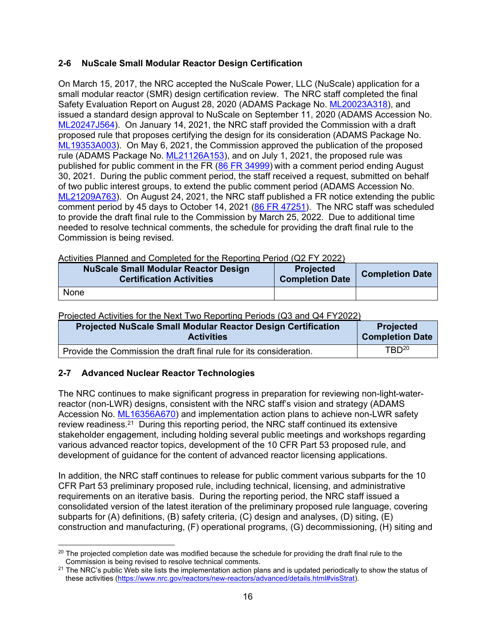# **2-6 NuScale Small Modular Reactor Design Certification**

On March 15, 2017, the NRC accepted the NuScale Power, LLC (NuScale) application for a small modular reactor (SMR) design certification review. The NRC staff completed the final Safety Evaluation Report on August 28, 2020 (ADAMS Package No. ML20023A318), and issued a standard design approval to NuScale on September 11, 2020 (ADAMS Accession No. ML20247J564). On January 14, 2021, the NRC staff provided the Commission with a draft proposed rule that proposes certifying the design for its consideration (ADAMS Package No. ML19353A003). On May 6, 2021, the Commission approved the publication of the proposed rule (ADAMS Package No. ML21126A153), and on July 1, 2021, the proposed rule was published for public comment in the FR (86 FR 34999) with a comment period ending August 30, 2021. During the public comment period, the staff received a request, submitted on behalf of two public interest groups, to extend the public comment period (ADAMS Accession No. ML21209A763). On August 24, 2021, the NRC staff published a FR notice extending the public comment period by 45 days to October 14, 2021 (86 FR 47251). The NRC staff was scheduled to provide the draft final rule to the Commission by March 25, 2022. Due to additional time needed to resolve technical comments, the schedule for providing the draft final rule to the Commission is being revised.

Activities Planned and Completed for the Reporting Period (Q2 FY 2022)

| <b>NuScale Small Modular Reactor Design</b><br><b>Certification Activities</b> | <b>Projected</b><br><b>Completion Date</b> | <b>Completion Date</b> |
|--------------------------------------------------------------------------------|--------------------------------------------|------------------------|
| None                                                                           |                                            |                        |

Projected Activities for the Next Two Reporting Periods (Q3 and Q4 FY2022)

| <b>Projected NuScale Small Modular Reactor Design Certification</b> | <b>Projected</b>       |
|---------------------------------------------------------------------|------------------------|
| <b>Activities</b>                                                   | <b>Completion Date</b> |
| Provide the Commission the draft final rule for its consideration.  | $TBD^{20}$             |

# **2-7 Advanced Nuclear Reactor Technologies**

The NRC continues to make significant progress in preparation for reviewing non-light-waterreactor (non-LWR) designs, consistent with the NRC staff's vision and strategy (ADAMS Accession No. ML16356A670) and implementation action plans to achieve non-LWR safety review readiness.21 During this reporting period, the NRC staff continued its extensive stakeholder engagement, including holding several public meetings and workshops regarding various advanced reactor topics, development of the 10 CFR Part 53 proposed rule, and development of guidance for the content of advanced reactor licensing applications.

In addition, the NRC staff continues to release for public comment various subparts for the 10 CFR Part 53 preliminary proposed rule, including technical, licensing, and administrative requirements on an iterative basis. During the reporting period, the NRC staff issued a consolidated version of the latest iteration of the preliminary proposed rule language, covering subparts for (A) definitions, (B) safety criteria, (C) design and analyses, (D) siting, (E) construction and manufacturing, (F) operational programs, (G) decommissioning, (H) siting and

<sup>&</sup>lt;sup>20</sup> The projected completion date was modified because the schedule for providing the draft final rule to the

Commission is being revised to resolve technical comments.<br><sup>21</sup> The NRC's public Web site lists the implementation action plans and is updated periodically to show the status of these activities (https://www.nrc.gov/reactors/new-reactors/advanced/details.html#visStrat).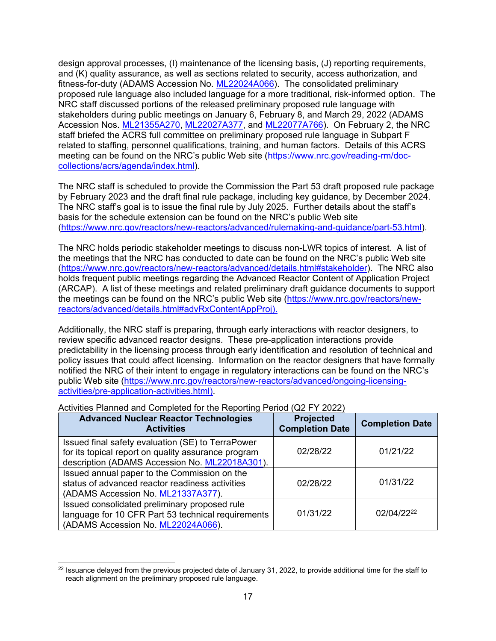design approval processes, (I) maintenance of the licensing basis, (J) reporting requirements, and (K) quality assurance, as well as sections related to security, access authorization, and fitness-for-duty (ADAMS Accession No. ML22024A066). The consolidated preliminary proposed rule language also included language for a more traditional, risk-informed option. The NRC staff discussed portions of the released preliminary proposed rule language with stakeholders during public meetings on January 6, February 8, and March 29, 2022 (ADAMS Accession Nos. ML21355A270, ML22027A377, and ML22077A766). On February 2, the NRC staff briefed the ACRS full committee on preliminary proposed rule language in Subpart F related to staffing, personnel qualifications, training, and human factors. Details of this ACRS meeting can be found on the NRC's public Web site (https://www.nrc.gov/reading-rm/doccollections/acrs/agenda/index.html).

The NRC staff is scheduled to provide the Commission the Part 53 draft proposed rule package by February 2023 and the draft final rule package, including key guidance, by December 2024. The NRC staff's goal is to issue the final rule by July 2025. Further details about the staff's basis for the schedule extension can be found on the NRC's public Web site (https://www.nrc.gov/reactors/new-reactors/advanced/rulemaking-and-guidance/part-53.html).

The NRC holds periodic stakeholder meetings to discuss non-LWR topics of interest. A list of the meetings that the NRC has conducted to date can be found on the NRC's public Web site (https://www.nrc.gov/reactors/new-reactors/advanced/details.html#stakeholder). The NRC also holds frequent public meetings regarding the Advanced Reactor Content of Application Project (ARCAP). A list of these meetings and related preliminary draft guidance documents to support the meetings can be found on the NRC's public Web site (https://www.nrc.gov/reactors/newreactors/advanced/details.html#advRxContentAppProj).

Additionally, the NRC staff is preparing, through early interactions with reactor designers, to review specific advanced reactor designs. These pre-application interactions provide predictability in the licensing process through early identification and resolution of technical and policy issues that could affect licensing. Information on the reactor designers that have formally notified the NRC of their intent to engage in regulatory interactions can be found on the NRC's public Web site (https://www.nrc.gov/reactors/new-reactors/advanced/ongoing-licensingactivities/pre-application-activities.html).

| <b>Advanced Nuclear Reactor Technologies</b><br><b>Activities</b>                                                                                          | <b>Projected</b><br><b>Completion Date</b> | <b>Completion Date</b> |
|------------------------------------------------------------------------------------------------------------------------------------------------------------|--------------------------------------------|------------------------|
| Issued final safety evaluation (SE) to TerraPower<br>for its topical report on quality assurance program<br>description (ADAMS Accession No. ML22018A301). | 02/28/22                                   | 01/21/22               |
| Issued annual paper to the Commission on the<br>status of advanced reactor readiness activities<br>(ADAMS Accession No. ML21337A377).                      | 02/28/22                                   | 01/31/22               |
| Issued consolidated preliminary proposed rule<br>language for 10 CFR Part 53 technical requirements<br>(ADAMS Accession No. ML22024A066).                  | 01/31/22                                   | 02/04/2222             |

#### Activities Planned and Completed for the Reporting Period (Q2 FY 2022)

<sup>&</sup>lt;sup>22</sup> Issuance delayed from the previous projected date of January 31, 2022, to provide additional time for the staff to reach alignment on the preliminary proposed rule language.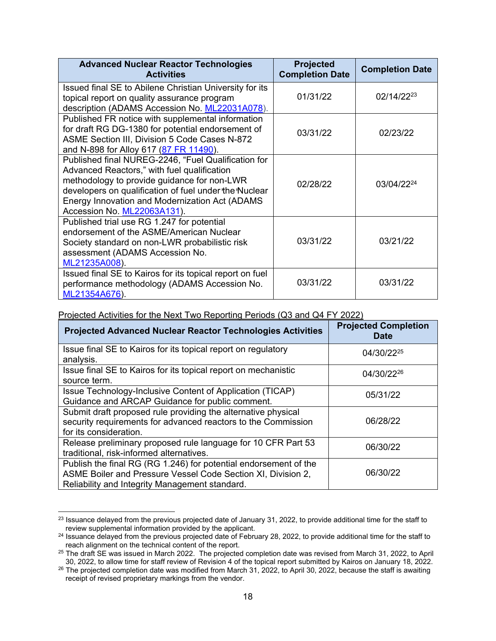| <b>Advanced Nuclear Reactor Technologies</b><br><b>Activities</b>                                                                                                                                                                                                                           | Projected<br><b>Completion Date</b> | <b>Completion Date</b> |
|---------------------------------------------------------------------------------------------------------------------------------------------------------------------------------------------------------------------------------------------------------------------------------------------|-------------------------------------|------------------------|
| Issued final SE to Abilene Christian University for its<br>topical report on quality assurance program<br>description (ADAMS Accession No. ML22031A078).                                                                                                                                    | 01/31/22                            | 02/14/22 <sup>23</sup> |
| Published FR notice with supplemental information<br>for draft RG DG-1380 for potential endorsement of<br>ASME Section III, Division 5 Code Cases N-872<br>and N-898 for Alloy 617 (87 FR 11490).                                                                                           | 03/31/22                            | 02/23/22               |
| Published final NUREG-2246, "Fuel Qualification for<br>Advanced Reactors," with fuel qualification<br>methodology to provide guidance for non-LWR<br>developers on qualification of fuel under the Nuclear<br>Energy Innovation and Modernization Act (ADAMS<br>Accession No. ML22063A131). | 02/28/22                            | 03/04/2224             |
| Published trial use RG 1.247 for potential<br>endorsement of the ASME/American Nuclear<br>Society standard on non-LWR probabilistic risk<br>assessment (ADAMS Accession No.<br>ML21235A008).                                                                                                | 03/31/22                            | 03/21/22               |
| Issued final SE to Kairos for its topical report on fuel<br>performance methodology (ADAMS Accession No.<br>ML21354A676).                                                                                                                                                                   | 03/31/22                            | 03/31/22               |

| <u>1996 todi / toti filter the HoAt Time Hoperting Fonoae (QO and QTT TESEE)</u><br><b>Projected Advanced Nuclear Reactor Technologies Activities</b>                              | <b>Projected Completion</b><br><b>Date</b> |
|------------------------------------------------------------------------------------------------------------------------------------------------------------------------------------|--------------------------------------------|
| Issue final SE to Kairos for its topical report on regulatory<br>analysis.                                                                                                         | 04/30/22 <sup>25</sup>                     |
| Issue final SE to Kairos for its topical report on mechanistic<br>source term.                                                                                                     | 04/30/22 <sup>26</sup>                     |
| Issue Technology-Inclusive Content of Application (TICAP)<br>Guidance and ARCAP Guidance for public comment.                                                                       | 05/31/22                                   |
| Submit draft proposed rule providing the alternative physical<br>security requirements for advanced reactors to the Commission<br>for its consideration.                           | 06/28/22                                   |
| Release preliminary proposed rule language for 10 CFR Part 53<br>traditional, risk-informed alternatives.                                                                          | 06/30/22                                   |
| Publish the final RG (RG 1.246) for potential endorsement of the<br>ASME Boiler and Pressure Vessel Code Section XI, Division 2,<br>Reliability and Integrity Management standard. | 06/30/22                                   |

 $^{23}$  Issuance delayed from the previous projected date of January 31, 2022, to provide additional time for the staff to review supplemental information provided by the applicant.

<sup>&</sup>lt;sup>24</sup> Issuance delayed from the previous projected date of February 28, 2022, to provide additional time for the staff to reach alignment on the technical content of the report.

<sup>&</sup>lt;sup>25</sup> The draft SE was issued in March 2022. The projected completion date was revised from March 31, 2022, to April<br>30, 2022, to allow time for staff review of Revision 4 of the topical report submitted by Kairos on Janua

<sup>&</sup>lt;sup>26</sup> The projected completion date was modified from March 31, 2022, to April 30, 2022, because the staff is awaiting receipt of revised proprietary markings from the vendor.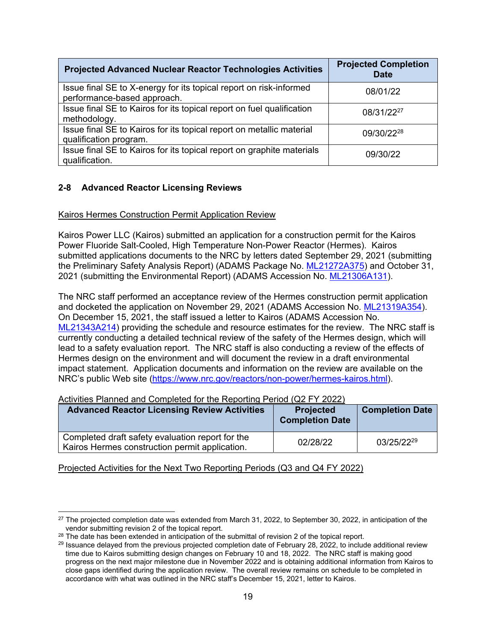| <b>Projected Advanced Nuclear Reactor Technologies Activities</b>                                 | <b>Projected Completion</b><br><b>Date</b> |
|---------------------------------------------------------------------------------------------------|--------------------------------------------|
| Issue final SE to X-energy for its topical report on risk-informed<br>performance-based approach. | 08/01/22                                   |
| Issue final SE to Kairos for its topical report on fuel qualification<br>methodology.             | 08/31/2227                                 |
| Issue final SE to Kairos for its topical report on metallic material<br>qualification program.    | 09/30/2228                                 |
| Issue final SE to Kairos for its topical report on graphite materials<br>qualification.           | 09/30/22                                   |

# **2-8 Advanced Reactor Licensing Reviews**

### Kairos Hermes Construction Permit Application Review

Kairos Power LLC (Kairos) submitted an application for a construction permit for the Kairos Power Fluoride Salt-Cooled, High Temperature Non-Power Reactor (Hermes). Kairos submitted applications documents to the NRC by letters dated September 29, 2021 (submitting the Preliminary Safety Analysis Report) (ADAMS Package No. ML21272A375) and October 31, 2021 (submitting the Environmental Report) (ADAMS Accession No. ML21306A131).

The NRC staff performed an acceptance review of the Hermes construction permit application and docketed the application on November 29, 2021 (ADAMS Accession No. ML21319A354). On December 15, 2021, the staff issued a letter to Kairos (ADAMS Accession No. ML21343A214) providing the schedule and resource estimates for the review. The NRC staff is currently conducting a detailed technical review of the safety of the Hermes design, which will lead to a safety evaluation report. The NRC staff is also conducting a review of the effects of Hermes design on the environment and will document the review in a draft environmental impact statement. Application documents and information on the review are available on the NRC's public Web site (https://www.nrc.gov/reactors/non-power/hermes-kairos.html).

| Activities Figuried and Completed for the Reporting Ferrod (QZ FT 2022)                            |                                            |                        |
|----------------------------------------------------------------------------------------------------|--------------------------------------------|------------------------|
| <b>Advanced Reactor Licensing Review Activities</b>                                                | <b>Projected</b><br><b>Completion Date</b> | <b>Completion Date</b> |
| Completed draft safety evaluation report for the<br>Kairos Hermes construction permit application. | 02/28/22                                   | 03/25/2229             |

Activities Planned and Completed for the Reporting Period (Q2 FY 2022)

<sup>&</sup>lt;sup>27</sup> The projected completion date was extended from March 31, 2022, to September 30, 2022, in anticipation of the vendor submitting revision 2 of the topical report.

 $^{28}$  The date has been extended in anticipation of the submittal of revision 2 of the topical report.<br><sup>29</sup> Issuance delayed from the previous projected completion date of February 28, 2022, to include additional review time due to Kairos submitting design changes on February 10 and 18, 2022. The NRC staff is making good progress on the next major milestone due in November 2022 and is obtaining additional information from Kairos to close gaps identified during the application review. The overall review remains on schedule to be completed in accordance with what was outlined in the NRC staff's December 15, 2021, letter to Kairos.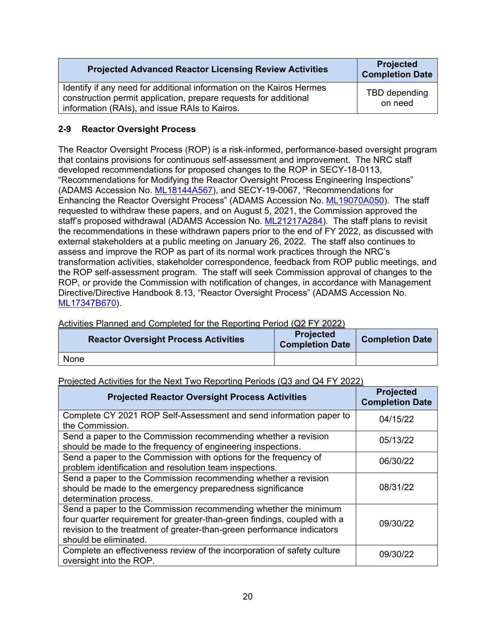| <b>Projected Advanced Reactor Licensing Review Activities</b>                                                                                                                             | <b>Projected</b><br><b>Completion Date</b> |
|-------------------------------------------------------------------------------------------------------------------------------------------------------------------------------------------|--------------------------------------------|
| Identify if any need for additional information on the Kairos Hermes<br>construction permit application, prepare requests for additional<br>information (RAIs), and issue RAIs to Kairos. | TBD depending<br>on need                   |

# **2-9 Reactor Oversight Process**

The Reactor Oversight Process (ROP) is a risk-informed, performance-based oversight program that contains provisions for continuous self-assessment and improvement. The NRC staff developed recommendations for proposed changes to the ROP in SECY-18-0113, "Recommendations for Modifying the Reactor Oversight Process Engineering Inspections" (ADAMS Accession No. ML18144A567), and SECY-19-0067, "Recommendations for Enhancing the Reactor Oversight Process" (ADAMS Accession No. ML19070A050). The staff requested to withdraw these papers, and on August 5, 2021, the Commission approved the staff's proposed withdrawal (ADAMS Accession No. ML21217A284). The staff plans to revisit the recommendations in these withdrawn papers prior to the end of FY 2022, as discussed with external stakeholders at a public meeting on January 26, 2022. The staff also continues to assess and improve the ROP as part of its normal work practices through the NRC's transformation activities, stakeholder correspondence, feedback from ROP public meetings, and the ROP self-assessment program. The staff will seek Commission approval of changes to the ROP, or provide the Commission with notification of changes, in accordance with Management Directive/Directive Handbook 8.13, "Reactor Oversight Process" (ADAMS Accession No. ML17347B670).

# Activities Planned and Completed for the Reporting Period (Q2 FY 2022)

| <b>Reactor Oversight Process Activities</b> | <b>Projected</b><br><b>Completion Date</b> | <b>Completion Date</b> |
|---------------------------------------------|--------------------------------------------|------------------------|
| None                                        |                                            |                        |

| <b>Projected Reactor Oversight Process Activities</b>                                                                                                                                                                                          | <b>Projected</b><br><b>Completion Date</b> |
|------------------------------------------------------------------------------------------------------------------------------------------------------------------------------------------------------------------------------------------------|--------------------------------------------|
| Complete CY 2021 ROP Self-Assessment and send information paper to<br>the Commission.                                                                                                                                                          | 04/15/22                                   |
| Send a paper to the Commission recommending whether a revision<br>should be made to the frequency of engineering inspections.                                                                                                                  | 05/13/22                                   |
| Send a paper to the Commission with options for the frequency of<br>problem identification and resolution team inspections.                                                                                                                    | 06/30/22                                   |
| Send a paper to the Commission recommending whether a revision<br>should be made to the emergency preparedness significance<br>determination process.                                                                                          | 08/31/22                                   |
| Send a paper to the Commission recommending whether the minimum<br>four quarter requirement for greater-than-green findings, coupled with a<br>revision to the treatment of greater-than-green performance indicators<br>should be eliminated. | 09/30/22                                   |
| Complete an effectiveness review of the incorporation of safety culture<br>oversight into the ROP.                                                                                                                                             | 09/30/22                                   |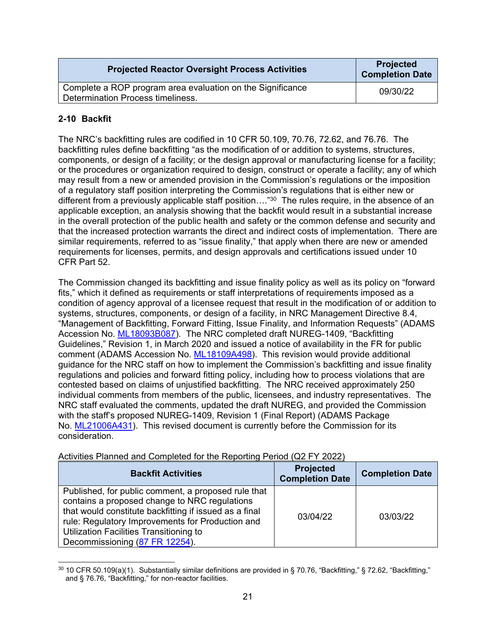| <b>Projected Reactor Oversight Process Activities</b>                                           | <b>Projected</b><br><b>Completion Date</b> |
|-------------------------------------------------------------------------------------------------|--------------------------------------------|
| Complete a ROP program area evaluation on the Significance<br>Determination Process timeliness. | 09/30/22                                   |

# **2-10 Backfit**

The NRC's backfitting rules are codified in 10 CFR 50.109, 70.76, 72.62, and 76.76. The backfitting rules define backfitting "as the modification of or addition to systems, structures, components, or design of a facility; or the design approval or manufacturing license for a facility; or the procedures or organization required to design, construct or operate a facility; any of which may result from a new or amended provision in the Commission's regulations or the imposition of a regulatory staff position interpreting the Commission's regulations that is either new or different from a previously applicable staff position…."30 The rules require, in the absence of an applicable exception, an analysis showing that the backfit would result in a substantial increase in the overall protection of the public health and safety or the common defense and security and that the increased protection warrants the direct and indirect costs of implementation. There are similar requirements, referred to as "issue finality," that apply when there are new or amended requirements for licenses, permits, and design approvals and certifications issued under 10 CFR Part 52.

The Commission changed its backfitting and issue finality policy as well as its policy on "forward fits," which it defined as requirements or staff interpretations of requirements imposed as a condition of agency approval of a licensee request that result in the modification of or addition to systems, structures, components, or design of a facility, in NRC Management Directive 8.4, "Management of Backfitting, Forward Fitting, Issue Finality, and Information Requests" (ADAMS Accession No. ML18093B087). The NRC completed draft NUREG-1409, "Backfitting Guidelines," Revision 1, in March 2020 and issued a notice of availability in the FR for public comment (ADAMS Accession No. ML18109A498). This revision would provide additional guidance for the NRC staff on how to implement the Commission's backfitting and issue finality regulations and policies and forward fitting policy, including how to process violations that are contested based on claims of unjustified backfitting. The NRC received approximately 250 individual comments from members of the public, licensees, and industry representatives. The NRC staff evaluated the comments, updated the draft NUREG, and provided the Commission with the staff's proposed NUREG-1409, Revision 1 (Final Report) (ADAMS Package No. ML21006A431). This revised document is currently before the Commission for its consideration.

| <b>Backfit Activities</b>                                                                                                                                                                                                                                                                       | <b>Projected</b><br><b>Completion Date</b> | <b>Completion Date</b> |
|-------------------------------------------------------------------------------------------------------------------------------------------------------------------------------------------------------------------------------------------------------------------------------------------------|--------------------------------------------|------------------------|
| Published, for public comment, a proposed rule that<br>contains a proposed change to NRC regulations<br>that would constitute backfitting if issued as a final<br>rule: Regulatory Improvements for Production and<br>Utilization Facilities Transitioning to<br>Decommissioning (87 FR 12254). | 03/04/22                                   | 03/03/22               |

Activities Planned and Completed for the Reporting Period (Q2 FY 2022)

 $30$  10 CFR 50.109(a)(1). Substantially similar definitions are provided in § 70.76, "Backfitting," § 72.62, "Backfitting," and § 76.76, "Backfitting," for non-reactor facilities.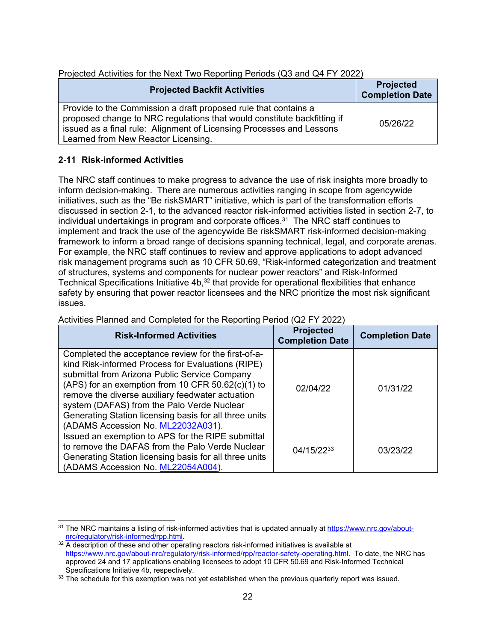| Projected Activities for the Next Two Neporthly Periods (QJ and Q4 FT 2022)                                                                                                                                                                               |                                            |
|-----------------------------------------------------------------------------------------------------------------------------------------------------------------------------------------------------------------------------------------------------------|--------------------------------------------|
| <b>Projected Backfit Activities</b>                                                                                                                                                                                                                       | <b>Projected</b><br><b>Completion Date</b> |
| Provide to the Commission a draft proposed rule that contains a<br>proposed change to NRC regulations that would constitute backfitting if<br>issued as a final rule: Alignment of Licensing Processes and Lessons<br>Learned from New Reactor Licensing. | 05/26/22                                   |

# Projected Activities for the Next Two Reporting Periods (Q3 and Q4 FY 2022)

# **2-11 Risk-informed Activities**

The NRC staff continues to make progress to advance the use of risk insights more broadly to inform decision-making. There are numerous activities ranging in scope from agencywide initiatives, such as the "Be riskSMART" initiative, which is part of the transformation efforts discussed in section 2-1, to the advanced reactor risk-informed activities listed in section 2-7, to individual undertakings in program and corporate offices. $31$  The NRC staff continues to implement and track the use of the agencywide Be riskSMART risk-informed decision-making framework to inform a broad range of decisions spanning technical, legal, and corporate arenas. For example, the NRC staff continues to review and approve applications to adopt advanced risk management programs such as 10 CFR 50.69, "Risk-informed categorization and treatment of structures, systems and components for nuclear power reactors" and Risk-Informed Technical Specifications Initiative 4b,<sup>32</sup> that provide for operational flexibilities that enhance safety by ensuring that power reactor licensees and the NRC prioritize the most risk significant issues.

| <b>Risk-Informed Activities</b>                                                                                                                                                                                                                                                                                                                                                                                    | <b>Projected</b><br><b>Completion Date</b> | <b>Completion Date</b> |
|--------------------------------------------------------------------------------------------------------------------------------------------------------------------------------------------------------------------------------------------------------------------------------------------------------------------------------------------------------------------------------------------------------------------|--------------------------------------------|------------------------|
| Completed the acceptance review for the first-of-a-<br>kind Risk-informed Process for Evaluations (RIPE)<br>submittal from Arizona Public Service Company<br>(APS) for an exemption from 10 CFR $50.62(c)(1)$ to<br>remove the diverse auxiliary feedwater actuation<br>system (DAFAS) from the Palo Verde Nuclear<br>Generating Station licensing basis for all three units<br>(ADAMS Accession No. ML22032A031). | 02/04/22                                   | 01/31/22               |
| Issued an exemption to APS for the RIPE submittal<br>to remove the DAFAS from the Palo Verde Nuclear<br>Generating Station licensing basis for all three units<br>(ADAMS Accession No. ML22054A004).                                                                                                                                                                                                               | 04/15/2233                                 | 03/23/22               |

### Activities Planned and Completed for the Reporting Period (Q2 FY 2022)

<sup>31</sup> The NRC maintains a listing of risk-informed activities that is updated annually at https://www.nrc.gov/aboutnrc/regulatory/risk-informed/rpp.html.<br><sup>32</sup> A description of these and other operating reactors risk-informed initiatives is available at

https://www.nrc.gov/about-nrc/regulatory/risk-informed/rpp/reactor-safety-operating.html. To date, the NRC has approved 24 and 17 applications enabling licensees to adopt 10 CFR 50.69 and Risk-Informed Technical Specifications Initiative 4b, respectively.<br><sup>33</sup> The schedule for this exemption was not yet established when the previous quarterly report was issued.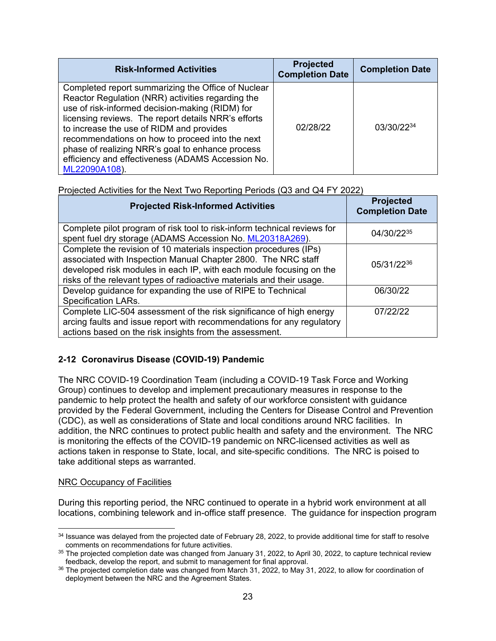| <b>Risk-Informed Activities</b>                                                                                                                                                                                                                                                                                                                                                                                                            | <b>Projected</b><br><b>Completion Date</b> | <b>Completion Date</b> |
|--------------------------------------------------------------------------------------------------------------------------------------------------------------------------------------------------------------------------------------------------------------------------------------------------------------------------------------------------------------------------------------------------------------------------------------------|--------------------------------------------|------------------------|
| Completed report summarizing the Office of Nuclear<br>Reactor Regulation (NRR) activities regarding the<br>use of risk-informed decision-making (RIDM) for<br>licensing reviews. The report details NRR's efforts<br>to increase the use of RIDM and provides<br>recommendations on how to proceed into the next<br>phase of realizing NRR's goal to enhance process<br>efficiency and effectiveness (ADAMS Accession No.<br>ML22090A108). | 02/28/22                                   | 03/30/2234             |

# Projected Activities for the Next Two Reporting Periods (Q3 and Q4 FY 2022)

| <b>Projected Risk-Informed Activities</b>                                                                                                                                                                                                                                          | <b>Projected</b><br><b>Completion Date</b> |
|------------------------------------------------------------------------------------------------------------------------------------------------------------------------------------------------------------------------------------------------------------------------------------|--------------------------------------------|
| Complete pilot program of risk tool to risk-inform technical reviews for<br>spent fuel dry storage (ADAMS Accession No. ML20318A269).                                                                                                                                              | 04/30/2235                                 |
| Complete the revision of 10 materials inspection procedures (IPs)<br>associated with Inspection Manual Chapter 2800. The NRC staff<br>developed risk modules in each IP, with each module focusing on the<br>risks of the relevant types of radioactive materials and their usage. | 05/31/2236                                 |
| Develop guidance for expanding the use of RIPE to Technical<br><b>Specification LARs.</b>                                                                                                                                                                                          | 06/30/22                                   |
| Complete LIC-504 assessment of the risk significance of high energy<br>arcing faults and issue report with recommendations for any regulatory<br>actions based on the risk insights from the assessment.                                                                           | 07/22/22                                   |

# **2-12 Coronavirus Disease (COVID-19) Pandemic**

The NRC COVID-19 Coordination Team (including a COVID-19 Task Force and Working Group) continues to develop and implement precautionary measures in response to the pandemic to help protect the health and safety of our workforce consistent with guidance provided by the Federal Government, including the Centers for Disease Control and Prevention (CDC), as well as considerations of State and local conditions around NRC facilities. In addition, the NRC continues to protect public health and safety and the environment. The NRC is monitoring the effects of the COVID-19 pandemic on NRC-licensed activities as well as actions taken in response to State, local, and site-specific conditions. The NRC is poised to take additional steps as warranted.

#### NRC Occupancy of Facilities

During this reporting period, the NRC continued to operate in a hybrid work environment at all locations, combining telework and in-office staff presence. The guidance for inspection program

<sup>&</sup>lt;sup>34</sup> Issuance was delayed from the projected date of February 28, 2022, to provide additional time for staff to resolve

comments on recommendations for future activities.<br><sup>35</sup> The projected completion date was changed from January 31, 2022, to April 30, 2022, to capture technical review<br>feedback, develop the report, and submit to management

<sup>&</sup>lt;sup>36</sup> The projected completion date was changed from March 31, 2022, to May 31, 2022, to allow for coordination of deployment between the NRC and the Agreement States.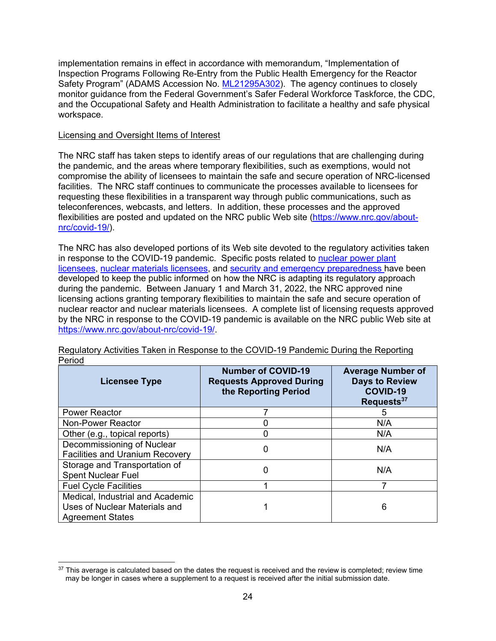implementation remains in effect in accordance with memorandum, "Implementation of Inspection Programs Following Re-Entry from the Public Health Emergency for the Reactor Safety Program" (ADAMS Accession No. ML21295A302). The agency continues to closely monitor guidance from the Federal Government's Safer Federal Workforce Taskforce, the CDC, and the Occupational Safety and Health Administration to facilitate a healthy and safe physical workspace.

#### Licensing and Oversight Items of Interest

The NRC staff has taken steps to identify areas of our regulations that are challenging during the pandemic, and the areas where temporary flexibilities, such as exemptions, would not compromise the ability of licensees to maintain the safe and secure operation of NRC-licensed facilities. The NRC staff continues to communicate the processes available to licensees for requesting these flexibilities in a transparent way through public communications, such as teleconferences, webcasts, and letters. In addition, these processes and the approved flexibilities are posted and updated on the NRC public Web site (https://www.nrc.gov/aboutnrc/covid-19/).

The NRC has also developed portions of its Web site devoted to the regulatory activities taken in response to the COVID-19 pandemic. Specific posts related to nuclear power plant licensees, nuclear materials licensees, and security and emergency preparedness have been developed to keep the public informed on how the NRC is adapting its regulatory approach during the pandemic. Between January 1 and March 31, 2022, the NRC approved nine licensing actions granting temporary flexibilities to maintain the safe and secure operation of nuclear reactor and nuclear materials licensees. A complete list of licensing requests approved by the NRC in response to the COVID-19 pandemic is available on the NRC public Web site at https://www.nrc.gov/about-nrc/covid-19/.

| י טווט<br><b>Licensee Type</b>                                                               | <b>Number of COVID-19</b><br><b>Requests Approved During</b><br>the Reporting Period | <b>Average Number of</b><br><b>Days to Review</b><br><b>COVID-19</b><br>Requests <sup>37</sup> |
|----------------------------------------------------------------------------------------------|--------------------------------------------------------------------------------------|------------------------------------------------------------------------------------------------|
| <b>Power Reactor</b>                                                                         |                                                                                      | 5                                                                                              |
| Non-Power Reactor                                                                            |                                                                                      | N/A                                                                                            |
| Other (e.g., topical reports)                                                                |                                                                                      | N/A                                                                                            |
| Decommissioning of Nuclear<br><b>Facilities and Uranium Recovery</b>                         | 0                                                                                    | N/A                                                                                            |
| Storage and Transportation of<br><b>Spent Nuclear Fuel</b>                                   | 0                                                                                    | N/A                                                                                            |
| <b>Fuel Cycle Facilities</b>                                                                 |                                                                                      |                                                                                                |
| Medical, Industrial and Academic<br>Uses of Nuclear Materials and<br><b>Agreement States</b> |                                                                                      | 6                                                                                              |

Regulatory Activities Taken in Response to the COVID-19 Pandemic During the Reporting Period

 $37$  This average is calculated based on the dates the request is received and the review is completed; review time may be longer in cases where a supplement to a request is received after the initial submission date.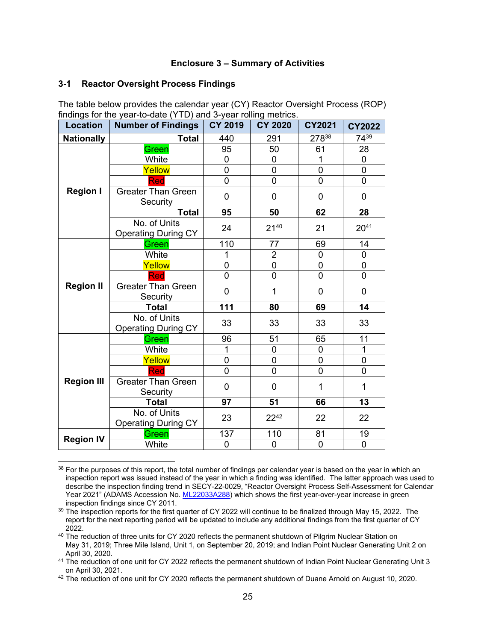#### **Enclosure 3 – Summary of Activities**

#### **3-1 Reactor Oversight Process Findings**

| Location          | $m$ and $m$ and $m$ and $m$ and $m$ and $m$ $m$ and $m$ $m$ and $m$ $m$ and $m$ $m$<br>Number of Findings   CY 2019 |                | <b>CY 2020</b> | <b>CY2021</b>  | <b>CY2022</b>  |
|-------------------|---------------------------------------------------------------------------------------------------------------------|----------------|----------------|----------------|----------------|
|                   |                                                                                                                     |                |                |                | 7439           |
| <b>Nationally</b> | <b>Total</b>                                                                                                        | 440            | 291            | 27838          |                |
|                   | Green                                                                                                               | 95             | 50             | 61             | 28             |
|                   | White                                                                                                               | 0              | $\overline{0}$ | 1              | $\mathbf 0$    |
|                   | Yellow                                                                                                              | 0              | $\overline{0}$ | $\mathbf 0$    | $\mathsf 0$    |
|                   | Red                                                                                                                 | 0              | $\mathbf 0$    | 0              | $\mathbf 0$    |
| <b>Region I</b>   | <b>Greater Than Green</b><br>Security                                                                               | 0              | $\overline{0}$ | 0              | 0              |
|                   | <b>Total</b>                                                                                                        | 95             | 50             | 62             | 28             |
|                   | No. of Units<br><b>Operating During CY</b>                                                                          | 24             | 2140           | 21             | $20^{41}$      |
| <b>Region II</b>  | Green                                                                                                               | 110            | 77             | 69             | 14             |
|                   | White                                                                                                               | 1              | $\overline{2}$ | 0              | $\mathbf 0$    |
|                   | Yellow                                                                                                              | 0              | $\overline{0}$ | $\mathbf 0$    | $\overline{0}$ |
|                   | Red                                                                                                                 | 0              | $\overline{0}$ | $\mathbf 0$    | 0              |
|                   | <b>Greater Than Green</b><br>Security                                                                               | 0              | 1              | 0              | 0              |
|                   | <b>Total</b>                                                                                                        | 111            | 80             | 69             | 14             |
|                   | No. of Units<br><b>Operating During CY</b>                                                                          | 33             | 33             | 33             | 33             |
|                   | Green                                                                                                               | 96             | 51             | 65             | 11             |
|                   | White                                                                                                               | 1              | $\overline{0}$ | 0              | $\overline{1}$ |
|                   | Yellow                                                                                                              | 0              | $\overline{0}$ | $\overline{0}$ | $\mathbf 0$    |
|                   | Red                                                                                                                 | $\mathbf 0$    | $\overline{0}$ | 0              | $\mathbf 0$    |
| <b>Region III</b> | <b>Greater Than Green</b><br>Security                                                                               | 0              | 0              | 1              | $\mathbf 1$    |
|                   | <b>Total</b>                                                                                                        | 97             | 51             | 66             | 13             |
|                   | No. of Units<br><b>Operating During CY</b>                                                                          | 23             | 2242           | 22             | 22             |
|                   | Green                                                                                                               | 137            | 110            | 81             | 19             |
| <b>Region IV</b>  | White                                                                                                               | $\overline{0}$ | $\overline{0}$ | $\overline{0}$ | $\overline{0}$ |

The table below provides the calendar year (CY) Reactor Oversight Process (ROP) findings for the year-to-date (YTD) and 3-year rolling metrics.

<sup>38</sup> For the purposes of this report, the total number of findings per calendar year is based on the year in which an inspection report was issued instead of the year in which a finding was identified. The latter approach was used to describe the inspection finding trend in SECY-22-0029, "Reactor Oversight Process Self-Assessment for Calendar Year 2021" (ADAMS Accession No. ML22033A288) which shows the first year-over-year increase in green inspection findings since CY 2011.

 $39$  The inspection reports for the first quarter of CY 2022 will continue to be finalized through May 15, 2022. The report for the next reporting period will be updated to include any additional findings from the first quarter of CY

<sup>2022.&</sup>lt;br><sup>40</sup> The reduction of three units for CY 2020 reflects the permanent shutdown of Pilgrim Nuclear Station on May 31, 2019; Three Mile Island, Unit 1, on September 20, 2019; and Indian Point Nuclear Generating Unit 2 on

April 30, 2020.<br><sup>41</sup> The reduction of one unit for CY 2022 reflects the permanent shutdown of Indian Point Nuclear Generating Unit 3<br>on April 30, 2021.

<sup>&</sup>lt;sup>42</sup> The reduction of one unit for CY 2020 reflects the permanent shutdown of Duane Arnold on August 10, 2020.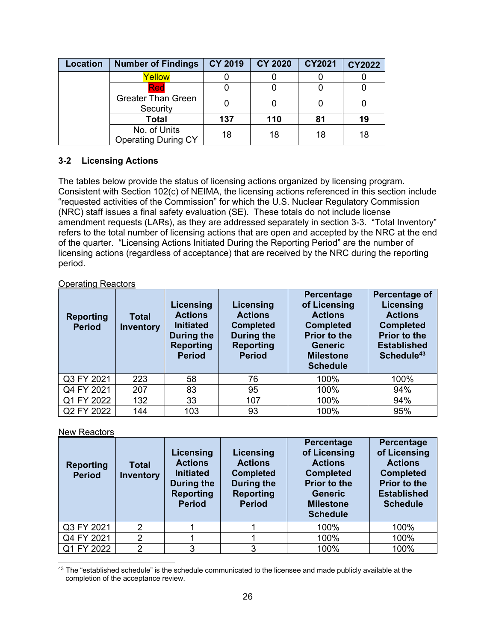| Location | <b>Number of Findings</b>                  | <b>CY 2019</b> | <b>CY 2020</b> | <b>CY2021</b> | <b>CY2022</b> |
|----------|--------------------------------------------|----------------|----------------|---------------|---------------|
|          | Yellow                                     |                |                |               |               |
|          | Red                                        |                |                |               |               |
|          | <b>Greater Than Green</b><br>Security      |                |                |               |               |
|          | <b>Total</b>                               | 137            | 110            | 81            | 19            |
|          | No. of Units<br><b>Operating During CY</b> | 18             | 18             | 18            | 18            |

# **3-2 Licensing Actions**

The tables below provide the status of licensing actions organized by licensing program. Consistent with Section 102(c) of NEIMA, the licensing actions referenced in this section include "requested activities of the Commission" for which the U.S. Nuclear Regulatory Commission (NRC) staff issues a final safety evaluation (SE). These totals do not include license amendment requests (LARs), as they are addressed separately in section 3-3. "Total Inventory" refers to the total number of licensing actions that are open and accepted by the NRC at the end of the quarter. "Licensing Actions Initiated During the Reporting Period" are the number of licensing actions (regardless of acceptance) that are received by the NRC during the reporting period.

### Operating Reactors

| <b>Reporting</b><br><b>Period</b> | <b>Total</b><br><b>Inventory</b> | Licensing<br><b>Actions</b><br><b>Initiated</b><br>During the<br><b>Reporting</b><br><b>Period</b> | Licensing<br><b>Actions</b><br><b>Completed</b><br>During the<br><b>Reporting</b><br><b>Period</b> | Percentage<br>of Licensing<br><b>Actions</b><br><b>Completed</b><br><b>Prior to the</b><br><b>Generic</b><br><b>Milestone</b><br><b>Schedule</b> | Percentage of<br><b>Licensing</b><br><b>Actions</b><br><b>Completed</b><br><b>Prior to the</b><br><b>Established</b><br>Schedule <sup>43</sup> |
|-----------------------------------|----------------------------------|----------------------------------------------------------------------------------------------------|----------------------------------------------------------------------------------------------------|--------------------------------------------------------------------------------------------------------------------------------------------------|------------------------------------------------------------------------------------------------------------------------------------------------|
| Q3 FY 2021                        | 223                              | 58                                                                                                 | 76                                                                                                 | 100%                                                                                                                                             | 100%                                                                                                                                           |
| Q4 FY 2021                        | 207                              | 83                                                                                                 | 95                                                                                                 | 100%                                                                                                                                             | 94%                                                                                                                                            |
| Q1 FY 2022                        | 132                              | 33                                                                                                 | 107                                                                                                | 100%                                                                                                                                             | 94%                                                                                                                                            |
| Q2 FY 2022                        | 144                              | 103                                                                                                | 93                                                                                                 | 100%                                                                                                                                             | 95%                                                                                                                                            |

New Reactors

| <b>Reporting</b><br><b>Period</b> | Total<br><b>Inventory</b> | Licensing<br><b>Actions</b><br><b>Initiated</b><br><b>During the</b><br><b>Reporting</b><br><b>Period</b> | Licensing<br><b>Actions</b><br><b>Completed</b><br>During the<br><b>Reporting</b><br><b>Period</b> | <b>Percentage</b><br>of Licensing<br><b>Actions</b><br><b>Completed</b><br><b>Prior to the</b><br><b>Generic</b><br><b>Milestone</b><br><b>Schedule</b> | Percentage<br>of Licensing<br><b>Actions</b><br><b>Completed</b><br><b>Prior to the</b><br><b>Established</b><br><b>Schedule</b> |
|-----------------------------------|---------------------------|-----------------------------------------------------------------------------------------------------------|----------------------------------------------------------------------------------------------------|---------------------------------------------------------------------------------------------------------------------------------------------------------|----------------------------------------------------------------------------------------------------------------------------------|
| Q3 FY 2021                        | $\overline{2}$            |                                                                                                           |                                                                                                    | 100%                                                                                                                                                    | 100%                                                                                                                             |
| Q4 FY 2021                        | 2                         |                                                                                                           |                                                                                                    | 100%                                                                                                                                                    | 100%                                                                                                                             |
| Q1 FY 2022                        | $\overline{2}$            | 3                                                                                                         | 3                                                                                                  | 100%                                                                                                                                                    | 100%                                                                                                                             |

<sup>43</sup> The "established schedule" is the schedule communicated to the licensee and made publicly available at the completion of the acceptance review.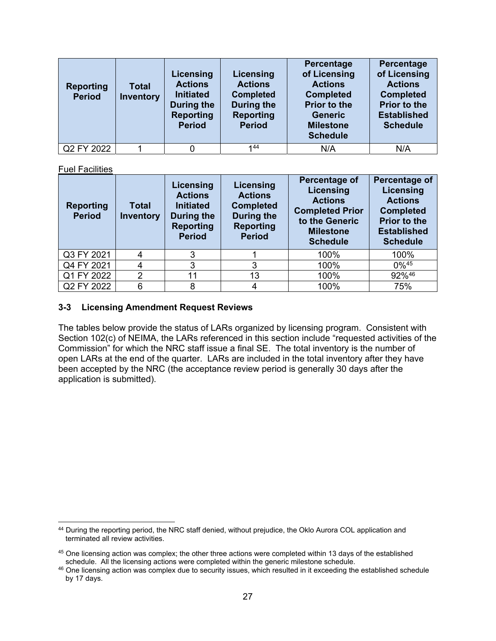| <b>Reporting</b><br><b>Period</b> | <b>Total</b><br><b>Inventory</b> | Licensing<br><b>Actions</b><br><b>Initiated</b><br>During the<br><b>Reporting</b><br><b>Period</b> | Licensing<br><b>Actions</b><br><b>Completed</b><br>During the<br><b>Reporting</b><br><b>Period</b> | Percentage<br>of Licensing<br><b>Actions</b><br><b>Completed</b><br><b>Prior to the</b><br><b>Generic</b><br><b>Milestone</b><br><b>Schedule</b> | Percentage<br>of Licensing<br><b>Actions</b><br><b>Completed</b><br><b>Prior to the</b><br><b>Established</b><br><b>Schedule</b> |
|-----------------------------------|----------------------------------|----------------------------------------------------------------------------------------------------|----------------------------------------------------------------------------------------------------|--------------------------------------------------------------------------------------------------------------------------------------------------|----------------------------------------------------------------------------------------------------------------------------------|
| Q2 FY 2022                        |                                  |                                                                                                    | 144                                                                                                | N/A                                                                                                                                              | N/A                                                                                                                              |

Fuel Facilities

| <b>Reporting</b><br><b>Period</b> | <b>Total</b><br><b>Inventory</b> | Licensing<br><b>Actions</b><br><b>Initiated</b><br>During the<br><b>Reporting</b><br><b>Period</b> | Licensing<br><b>Actions</b><br><b>Completed</b><br>During the<br><b>Reporting</b><br><b>Period</b> | <b>Percentage of</b><br>Licensing<br><b>Actions</b><br><b>Completed Prior</b><br>to the Generic<br><b>Milestone</b><br><b>Schedule</b> | <b>Percentage of</b><br><b>Licensing</b><br><b>Actions</b><br><b>Completed</b><br><b>Prior to the</b><br><b>Established</b><br><b>Schedule</b> |
|-----------------------------------|----------------------------------|----------------------------------------------------------------------------------------------------|----------------------------------------------------------------------------------------------------|----------------------------------------------------------------------------------------------------------------------------------------|------------------------------------------------------------------------------------------------------------------------------------------------|
| Q3 FY 2021                        | 4                                | 3                                                                                                  |                                                                                                    | 100%                                                                                                                                   | 100%                                                                                                                                           |
| Q4 FY 2021                        |                                  | 3                                                                                                  | 3                                                                                                  | 100%                                                                                                                                   | $0\%$ <sup>45</sup>                                                                                                                            |
| Q1 FY 2022                        | $\overline{2}$                   | 11                                                                                                 | 13                                                                                                 | 100%                                                                                                                                   | 92%46                                                                                                                                          |
| Q2 FY 2022                        | 6                                | 8                                                                                                  |                                                                                                    | 100%                                                                                                                                   | 75%                                                                                                                                            |

### **3-3 Licensing Amendment Request Reviews**

The tables below provide the status of LARs organized by licensing program. Consistent with Section 102(c) of NEIMA, the LARs referenced in this section include "requested activities of the Commission" for which the NRC staff issue a final SE. The total inventory is the number of open LARs at the end of the quarter. LARs are included in the total inventory after they have been accepted by the NRC (the acceptance review period is generally 30 days after the application is submitted).

<sup>44</sup> During the reporting period, the NRC staff denied, without prejudice, the Oklo Aurora COL application and terminated all review activities.

 $45$  One licensing action was complex; the other three actions were completed within 13 days of the established schedule. All the licensing actions were completed within the generic milestone schedule.

<sup>&</sup>lt;sup>46</sup> One licensing action was complex due to security issues, which resulted in it exceeding the established schedule by 17 days.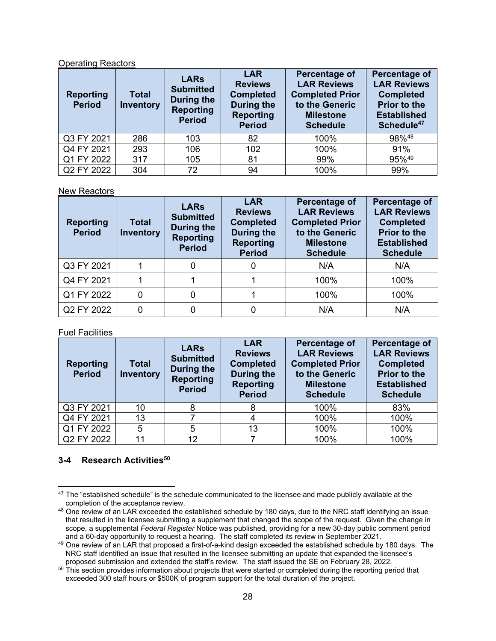### Operating Reactors

| <b>Reporting</b><br><b>Period</b> | <b>Total</b><br><b>Inventory</b> | <b>LARs</b><br><b>Submitted</b><br>During the<br><b>Reporting</b><br><b>Period</b> | <b>LAR</b><br><b>Reviews</b><br><b>Completed</b><br>During the<br><b>Reporting</b><br><b>Period</b> | Percentage of<br><b>LAR Reviews</b><br><b>Completed Prior</b><br>to the Generic<br><b>Milestone</b><br><b>Schedule</b> | Percentage of<br><b>LAR Reviews</b><br><b>Completed</b><br><b>Prior to the</b><br><b>Established</b><br>Schedule <sup>47</sup> |
|-----------------------------------|----------------------------------|------------------------------------------------------------------------------------|-----------------------------------------------------------------------------------------------------|------------------------------------------------------------------------------------------------------------------------|--------------------------------------------------------------------------------------------------------------------------------|
| Q3 FY 2021                        | 286                              | 103                                                                                | 82                                                                                                  | 100%                                                                                                                   | 98%48                                                                                                                          |
| Q4 FY 2021                        | 293                              | 106                                                                                | 102                                                                                                 | 100%                                                                                                                   | 91%                                                                                                                            |
| Q1 FY 2022                        | 317                              | 105                                                                                | 81                                                                                                  | 99%                                                                                                                    | 95%49                                                                                                                          |
| Q2 FY 2022                        | 304                              | 72                                                                                 | 94                                                                                                  | 100%                                                                                                                   | 99%                                                                                                                            |

#### New Reactors

| <b>Reporting</b><br><b>Period</b> | <b>Total</b><br><b>Inventory</b> | <b>LARs</b><br><b>Submitted</b><br>During the<br><b>Reporting</b><br><b>Period</b> | <b>LAR</b><br><b>Reviews</b><br><b>Completed</b><br>During the<br><b>Reporting</b><br><b>Period</b> | Percentage of<br><b>LAR Reviews</b><br><b>Completed Prior</b><br>to the Generic<br><b>Milestone</b><br><b>Schedule</b> | Percentage of<br><b>LAR Reviews</b><br><b>Completed</b><br><b>Prior to the</b><br><b>Established</b><br><b>Schedule</b> |
|-----------------------------------|----------------------------------|------------------------------------------------------------------------------------|-----------------------------------------------------------------------------------------------------|------------------------------------------------------------------------------------------------------------------------|-------------------------------------------------------------------------------------------------------------------------|
| Q3 FY 2021                        |                                  | 0                                                                                  | 0                                                                                                   | N/A                                                                                                                    | N/A                                                                                                                     |
| Q4 FY 2021                        |                                  |                                                                                    |                                                                                                     | 100%                                                                                                                   | 100%                                                                                                                    |
| Q1 FY 2022                        | 0                                | 0                                                                                  |                                                                                                     | 100%                                                                                                                   | 100%                                                                                                                    |
| Q2 FY 2022                        | 0                                | 0                                                                                  |                                                                                                     | N/A                                                                                                                    | N/A                                                                                                                     |

#### Fuel Facilities

| <b>Reporting</b><br><b>Period</b> | <b>Total</b><br><b>Inventory</b> | <b>LARs</b><br><b>Submitted</b><br><b>During the</b><br><b>Reporting</b><br><b>Period</b> | <b>LAR</b><br><b>Reviews</b><br><b>Completed</b><br><b>During the</b><br><b>Reporting</b><br><b>Period</b> | Percentage of<br><b>LAR Reviews</b><br><b>Completed Prior</b><br>to the Generic<br><b>Milestone</b><br><b>Schedule</b> | Percentage of<br><b>LAR Reviews</b><br><b>Completed</b><br><b>Prior to the</b><br><b>Established</b><br><b>Schedule</b> |
|-----------------------------------|----------------------------------|-------------------------------------------------------------------------------------------|------------------------------------------------------------------------------------------------------------|------------------------------------------------------------------------------------------------------------------------|-------------------------------------------------------------------------------------------------------------------------|
| Q3 FY 2021                        | 10                               | 8                                                                                         | 8                                                                                                          | 100%                                                                                                                   | 83%                                                                                                                     |
| Q4 FY 2021                        | 13                               |                                                                                           |                                                                                                            | 100%                                                                                                                   | 100%                                                                                                                    |
| Q1 FY 2022                        | 5                                | 5                                                                                         | 13                                                                                                         | 100%                                                                                                                   | 100%                                                                                                                    |
| Q2 FY 2022                        | 11                               | 12                                                                                        |                                                                                                            | 100%                                                                                                                   | 100%                                                                                                                    |

# **3-4 Research Activities<sup>50</sup>**

 $47$  The "established schedule" is the schedule communicated to the licensee and made publicly available at the completion of the acceptance review.

 $48$  One review of an LAR exceeded the established schedule by 180 days, due to the NRC staff identifying an issue that resulted in the licensee submitting a supplement that changed the scope of the request. Given the change in scope, a supplemental *Federal Register* Notice was published, providing for a new 30-day public comment period

and a 60-day opportunity to request a hearing. The staff completed its review in September 2021.<br><sup>49</sup> One review of an LAR that proposed a first-of-a-kind design exceeded the established schedule by 180 days. The NRC staff identified an issue that resulted in the licensee submitting an update that expanded the licensee's proposed submission and extended the staff's review. The staff issued the SE on February 28, 2022.

 $50$  This section provides information about projects that were started or completed during the reporting period that exceeded 300 staff hours or \$500K of program support for the total duration of the project.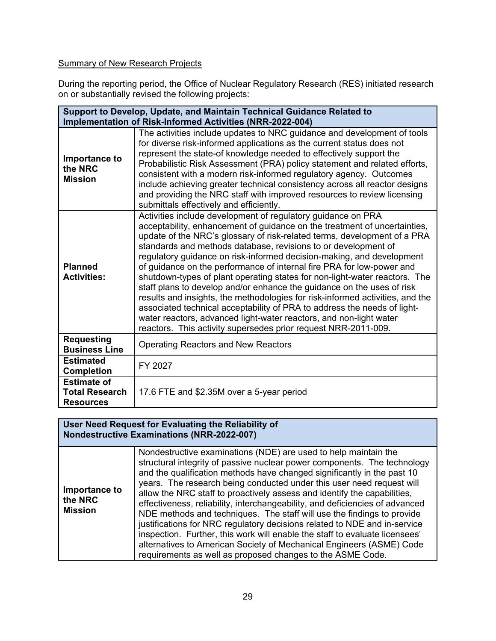# Summary of New Research Projects

During the reporting period, the Office of Nuclear Regulatory Research (RES) initiated research on or substantially revised the following projects:

| Support to Develop, Update, and Maintain Technical Guidance Related to |                                                                                                                                                                                                                                                                                                                                                                                                                                                                                                                                                                                                                                                                                                                                                                                                                                                                                                        |  |  |  |  |
|------------------------------------------------------------------------|--------------------------------------------------------------------------------------------------------------------------------------------------------------------------------------------------------------------------------------------------------------------------------------------------------------------------------------------------------------------------------------------------------------------------------------------------------------------------------------------------------------------------------------------------------------------------------------------------------------------------------------------------------------------------------------------------------------------------------------------------------------------------------------------------------------------------------------------------------------------------------------------------------|--|--|--|--|
|                                                                        | Implementation of Risk-Informed Activities (NRR-2022-004)                                                                                                                                                                                                                                                                                                                                                                                                                                                                                                                                                                                                                                                                                                                                                                                                                                              |  |  |  |  |
| Importance to<br>the NRC<br><b>Mission</b>                             | The activities include updates to NRC guidance and development of tools<br>for diverse risk-informed applications as the current status does not<br>represent the state-of knowledge needed to effectively support the<br>Probabilistic Risk Assessment (PRA) policy statement and related efforts,<br>consistent with a modern risk-informed regulatory agency. Outcomes<br>include achieving greater technical consistency across all reactor designs<br>and providing the NRC staff with improved resources to review licensing<br>submittals effectively and efficiently.                                                                                                                                                                                                                                                                                                                          |  |  |  |  |
| <b>Planned</b><br><b>Activities:</b>                                   | Activities include development of regulatory guidance on PRA<br>acceptability, enhancement of guidance on the treatment of uncertainties,<br>update of the NRC's glossary of risk-related terms, development of a PRA<br>standards and methods database, revisions to or development of<br>regulatory guidance on risk-informed decision-making, and development<br>of guidance on the performance of internal fire PRA for low-power and<br>shutdown-types of plant operating states for non-light-water reactors. The<br>staff plans to develop and/or enhance the guidance on the uses of risk<br>results and insights, the methodologies for risk-informed activities, and the<br>associated technical acceptability of PRA to address the needs of light-<br>water reactors, advanced light-water reactors, and non-light water<br>reactors. This activity supersedes prior request NRR-2011-009. |  |  |  |  |
| <b>Requesting</b><br><b>Business Line</b>                              | <b>Operating Reactors and New Reactors</b>                                                                                                                                                                                                                                                                                                                                                                                                                                                                                                                                                                                                                                                                                                                                                                                                                                                             |  |  |  |  |
| <b>Estimated</b><br><b>Completion</b>                                  | FY 2027                                                                                                                                                                                                                                                                                                                                                                                                                                                                                                                                                                                                                                                                                                                                                                                                                                                                                                |  |  |  |  |
| <b>Estimate of</b><br><b>Total Research</b><br><b>Resources</b>        | 17.6 FTE and \$2.35M over a 5-year period                                                                                                                                                                                                                                                                                                                                                                                                                                                                                                                                                                                                                                                                                                                                                                                                                                                              |  |  |  |  |

### **User Need Request for Evaluating the Reliability of Nondestructive Examinations (NRR-2022-007)**

| Importance to<br>the NRC<br><b>Mission</b> | Nondestructive examinations (NDE) are used to help maintain the<br>structural integrity of passive nuclear power components. The technology<br>and the qualification methods have changed significantly in the past 10<br>years. The research being conducted under this user need request will<br>allow the NRC staff to proactively assess and identify the capabilities,<br>effectiveness, reliability, interchangeability, and deficiencies of advanced<br>NDE methods and techniques. The staff will use the findings to provide<br>justifications for NRC regulatory decisions related to NDE and in-service<br>inspection. Further, this work will enable the staff to evaluate licensees'<br>alternatives to American Society of Mechanical Engineers (ASME) Code<br>requirements as well as proposed changes to the ASME Code. |
|--------------------------------------------|-----------------------------------------------------------------------------------------------------------------------------------------------------------------------------------------------------------------------------------------------------------------------------------------------------------------------------------------------------------------------------------------------------------------------------------------------------------------------------------------------------------------------------------------------------------------------------------------------------------------------------------------------------------------------------------------------------------------------------------------------------------------------------------------------------------------------------------------|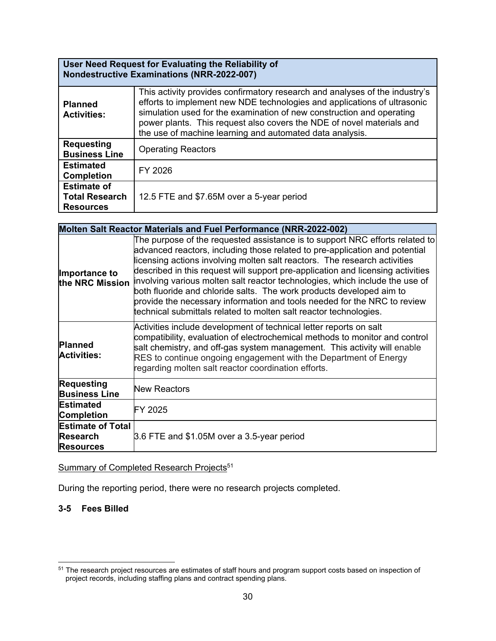# **User Need Request for Evaluating the Reliability of Nondestructive Examinations (NRR-2022-007)**

| <b>Planned</b><br><b>Activities:</b>                            | This activity provides confirmatory research and analyses of the industry's<br>efforts to implement new NDE technologies and applications of ultrasonic<br>simulation used for the examination of new construction and operating<br>power plants. This request also covers the NDE of novel materials and<br>the use of machine learning and automated data analysis. |
|-----------------------------------------------------------------|-----------------------------------------------------------------------------------------------------------------------------------------------------------------------------------------------------------------------------------------------------------------------------------------------------------------------------------------------------------------------|
| <b>Requesting</b><br><b>Business Line</b>                       | <b>Operating Reactors</b>                                                                                                                                                                                                                                                                                                                                             |
| <b>Estimated</b><br><b>Completion</b>                           | FY 2026                                                                                                                                                                                                                                                                                                                                                               |
| <b>Estimate of</b><br><b>Total Research</b><br><b>Resources</b> | 12.5 FTE and \$7.65M over a 5-year period                                                                                                                                                                                                                                                                                                                             |

# **Molten Salt Reactor Materials and Fuel Performance (NRR-2022-002)**

| Importance to<br>the NRC Mission                                | The purpose of the requested assistance is to support NRC efforts related to<br>advanced reactors, including those related to pre-application and potential<br>licensing actions involving molten salt reactors. The research activities<br>described in this request will support pre-application and licensing activities<br>involving various molten salt reactor technologies, which include the use of<br>both fluoride and chloride salts. The work products developed aim to<br>provide the necessary information and tools needed for the NRC to review<br>technical submittals related to molten salt reactor technologies. |
|-----------------------------------------------------------------|--------------------------------------------------------------------------------------------------------------------------------------------------------------------------------------------------------------------------------------------------------------------------------------------------------------------------------------------------------------------------------------------------------------------------------------------------------------------------------------------------------------------------------------------------------------------------------------------------------------------------------------|
| <b>Planned</b><br><b>Activities:</b>                            | Activities include development of technical letter reports on salt<br>compatibility, evaluation of electrochemical methods to monitor and control<br>salt chemistry, and off-gas system management. This activity will enable<br>RES to continue ongoing engagement with the Department of Energy<br>regarding molten salt reactor coordination efforts.                                                                                                                                                                                                                                                                             |
| <b>Requesting</b><br><b>Business Line</b>                       | <b>New Reactors</b>                                                                                                                                                                                                                                                                                                                                                                                                                                                                                                                                                                                                                  |
| <b>Estimated</b><br><b>Completion</b>                           | FY 2025                                                                                                                                                                                                                                                                                                                                                                                                                                                                                                                                                                                                                              |
| <b>Estimate of Total</b><br><b>Research</b><br><b>Resources</b> | 3.6 FTE and \$1.05M over a 3.5-year period                                                                                                                                                                                                                                                                                                                                                                                                                                                                                                                                                                                           |

Summary of Completed Research Projects<sup>51</sup>

During the reporting period, there were no research projects completed.

# **3-5 Fees Billed**

<sup>51</sup> The research project resources are estimates of staff hours and program support costs based on inspection of project records, including staffing plans and contract spending plans.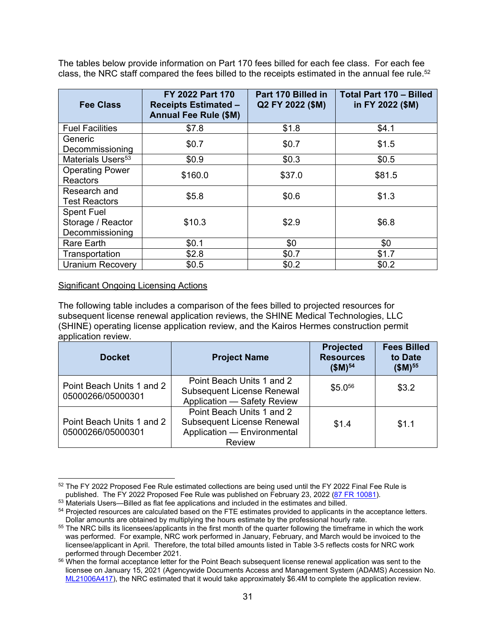The tables below provide information on Part 170 fees billed for each fee class. For each fee class, the NRC staff compared the fees billed to the receipts estimated in the annual fee rule.<sup>52</sup>

| <b>Fee Class</b>                                          | FY 2022 Part 170<br><b>Receipts Estimated -</b><br><b>Annual Fee Rule (\$M)</b> | Part 170 Billed in<br>Q2 FY 2022 (\$M) | <b>Total Part 170 - Billed</b><br>in FY 2022 (\$M) |
|-----------------------------------------------------------|---------------------------------------------------------------------------------|----------------------------------------|----------------------------------------------------|
| <b>Fuel Facilities</b>                                    | \$7.8                                                                           | \$1.8                                  | \$4.1                                              |
| Generic<br>Decommissioning                                | \$0.7                                                                           | \$0.7                                  | \$1.5                                              |
| Materials Users <sup>53</sup>                             | \$0.9                                                                           | \$0.3                                  | \$0.5                                              |
| <b>Operating Power</b><br><b>Reactors</b>                 | \$160.0                                                                         | \$37.0                                 | \$81.5                                             |
| Research and<br><b>Test Reactors</b>                      | \$5.8                                                                           | \$0.6                                  | \$1.3                                              |
| <b>Spent Fuel</b><br>Storage / Reactor<br>Decommissioning | \$10.3                                                                          | \$2.9                                  | \$6.8                                              |
| <b>Rare Earth</b>                                         | \$0.1                                                                           | \$0                                    | \$0                                                |
| Transportation                                            | \$2.8                                                                           | \$0.7                                  | \$1.7                                              |
| <b>Uranium Recovery</b>                                   | \$0.5                                                                           | \$0.2                                  | \$0.2                                              |

### Significant Ongoing Licensing Actions

The following table includes a comparison of the fees billed to projected resources for subsequent license renewal application reviews, the SHINE Medical Technologies, LLC (SHINE) operating license application review, and the Kairos Hermes construction permit application review.

| <b>Docket</b>                                  | <b>Project Name</b>                                                                                            | <b>Projected</b><br><b>Resources</b><br>$$M)^{54}$ | <b>Fees Billed</b><br>to Date<br>$($M)^{55}$ |
|------------------------------------------------|----------------------------------------------------------------------------------------------------------------|----------------------------------------------------|----------------------------------------------|
| Point Beach Units 1 and 2<br>05000266/05000301 | Point Beach Units 1 and 2<br><b>Subsequent License Renewal</b><br>Application - Safety Review                  | \$5.0 <sup>56</sup>                                | \$3.2                                        |
| Point Beach Units 1 and 2<br>05000266/05000301 | Point Beach Units 1 and 2<br><b>Subsequent License Renewal</b><br>Application - Environmental<br><b>Review</b> | \$1.4                                              | \$1.1                                        |

<sup>&</sup>lt;sup>52</sup> The FY 2022 Proposed Fee Rule estimated collections are being used until the FY 2022 Final Fee Rule is published. The FY 2022 Proposed Fee Rule was published on February 23, 2022 ( $\frac{87 \text{ FR } 10081}$ ).

 $53$  Materials Users—Billed as flat fee applications and included in the estimates and billed.

 $54$  Projected resources are calculated based on the FTE estimates provided to applicants in the acceptance letters.<br>Dollar amounts are obtained by multiplying the hours estimate by the professional hourly rate.

<sup>&</sup>lt;sup>55</sup> The NRC bills its licensees/applicants in the first month of the quarter following the timeframe in which the work was performed. For example, NRC work performed in January, February, and March would be invoiced to the licensee/applicant in April. Therefore, the total billed amounts listed in Table 3-5 reflects costs for NRC work

performed through December 2021.<br><sup>56</sup> When the formal acceptance letter for the Point Beach subsequent license renewal application was sent to the licensee on January 15, 2021 (Agencywide Documents Access and Management System (ADAMS) Accession No. ML21006A417), the NRC estimated that it would take approximately \$6.4M to complete the application review.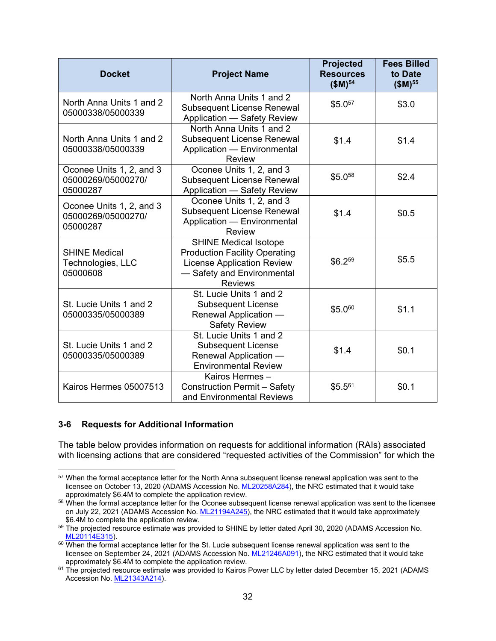| <b>Docket</b>                                              | <b>Project Name</b>                                                                                                                                       | <b>Projected</b><br><b>Resources</b><br>$$M)^{54}$ | <b>Fees Billed</b><br>to Date<br>$($M)^{55}$ |
|------------------------------------------------------------|-----------------------------------------------------------------------------------------------------------------------------------------------------------|----------------------------------------------------|----------------------------------------------|
| North Anna Units 1 and 2<br>05000338/05000339              | North Anna Units 1 and 2<br><b>Subsequent License Renewal</b><br>Application - Safety Review                                                              | \$5.057                                            | \$3.0                                        |
| North Anna Units 1 and 2<br>05000338/05000339              | North Anna Units 1 and 2<br><b>Subsequent License Renewal</b><br>Application - Environmental<br><b>Review</b>                                             | \$1.4                                              | \$1.4                                        |
| Oconee Units 1, 2, and 3<br>05000269/05000270/<br>05000287 | Oconee Units 1, 2, and 3<br><b>Subsequent License Renewal</b><br>Application - Safety Review                                                              | \$5.058                                            | \$2.4                                        |
| Oconee Units 1, 2, and 3<br>05000269/05000270/<br>05000287 | Oconee Units 1, 2, and 3<br><b>Subsequent License Renewal</b><br>Application - Environmental<br><b>Review</b>                                             | \$1.4                                              | \$0.5                                        |
| <b>SHINE Medical</b><br>Technologies, LLC<br>05000608      | <b>SHINE Medical Isotope</b><br><b>Production Facility Operating</b><br><b>License Application Review</b><br>- Safety and Environmental<br><b>Reviews</b> | \$6.259                                            | \$5.5                                        |
| St. Lucie Units 1 and 2<br>05000335/05000389               | St. Lucie Units 1 and 2<br><b>Subsequent License</b><br>Renewal Application -<br><b>Safety Review</b>                                                     | \$5.060                                            | \$1.1                                        |
| St. Lucie Units 1 and 2<br>05000335/05000389               | St. Lucie Units 1 and 2<br><b>Subsequent License</b><br>Renewal Application -<br><b>Environmental Review</b>                                              | \$1.4                                              | \$0.1                                        |
| Kairos Hermes 05007513                                     | Kairos Hermes-<br><b>Construction Permit - Safety</b><br>and Environmental Reviews                                                                        | $$5.5^{61}$                                        | \$0.1                                        |

#### **3-6 Requests for Additional Information**

The table below provides information on requests for additional information (RAIs) associated with licensing actions that are considered "requested activities of the Commission" for which the

<sup>57</sup> When the formal acceptance letter for the North Anna subsequent license renewal application was sent to the licensee on October 13, 2020 (ADAMS Accession No. ML20258A284), the NRC estimated that it would take approximately \$6.4M to complete the application review.

<sup>58</sup> When the formal acceptance letter for the Oconee subsequent license renewal application was sent to the licensee on July 22, 2021 (ADAMS Accession No. ML21194A245), the NRC estimated that it would take approximately \$6.4M to complete the application review.

 $59$  The projected resource estimate was provided to SHINE by letter dated April 30, 2020 (ADAMS Accession No.<br>ML20114E315).

 $60$  When the formal acceptance letter for the St. Lucie subsequent license renewal application was sent to the licensee on September 24, 2021 (ADAMS Accession No. ML21246A091), the NRC estimated that it would take

approximately \$6.4M to complete the application review.<br><sup>61</sup> The projected resource estimate was provided to Kairos Power LLC by letter dated December 15, 2021 (ADAMS Accession No. ML21343A214).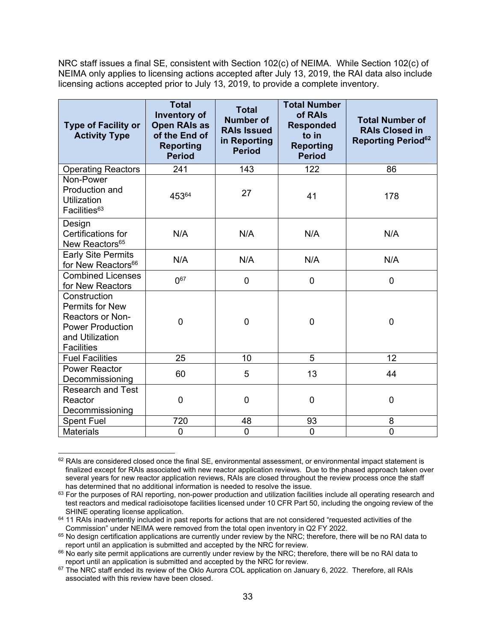NRC staff issues a final SE, consistent with Section 102(c) of NEIMA. While Section 102(c) of NEIMA only applies to licensing actions accepted after July 13, 2019, the RAI data also include licensing actions accepted prior to July 13, 2019, to provide a complete inventory.

| <b>Type of Facility or</b><br><b>Activity Type</b>                                                                            | <b>Total</b><br><b>Inventory of</b><br><b>Open RAIs as</b><br>of the End of<br><b>Reporting</b><br><b>Period</b> | <b>Total</b><br><b>Number of</b><br><b>RAIs Issued</b><br>in Reporting<br><b>Period</b> | <b>Total Number</b><br>of RAIs<br><b>Responded</b><br>to in<br><b>Reporting</b><br><b>Period</b> | <b>Total Number of</b><br><b>RAIs Closed in</b><br><b>Reporting Period</b> <sup>62</sup> |
|-------------------------------------------------------------------------------------------------------------------------------|------------------------------------------------------------------------------------------------------------------|-----------------------------------------------------------------------------------------|--------------------------------------------------------------------------------------------------|------------------------------------------------------------------------------------------|
| <b>Operating Reactors</b>                                                                                                     | 241                                                                                                              | 143                                                                                     | 122                                                                                              | 86                                                                                       |
| Non-Power<br>Production and<br><b>Utilization</b><br>Facilities <sup>63</sup>                                                 | 45364                                                                                                            | 27                                                                                      | 41                                                                                               | 178                                                                                      |
| Design<br>Certifications for<br>New Reactors <sup>65</sup>                                                                    | N/A                                                                                                              | N/A                                                                                     | N/A                                                                                              | N/A                                                                                      |
| <b>Early Site Permits</b><br>for New Reactors <sup>66</sup>                                                                   | N/A                                                                                                              | N/A                                                                                     | N/A                                                                                              | N/A                                                                                      |
| <b>Combined Licenses</b><br>for New Reactors                                                                                  | $0^{67}$                                                                                                         | 0                                                                                       | 0                                                                                                | $\overline{0}$                                                                           |
| Construction<br>Permits for New<br><b>Reactors or Non-</b><br><b>Power Production</b><br>and Utilization<br><b>Facilities</b> | 0                                                                                                                | 0                                                                                       | $\mathbf 0$                                                                                      | 0                                                                                        |
| <b>Fuel Facilities</b>                                                                                                        | 25                                                                                                               | 10                                                                                      | 5                                                                                                | 12                                                                                       |
| <b>Power Reactor</b><br>Decommissioning                                                                                       | 60                                                                                                               | 5                                                                                       | 13                                                                                               | 44                                                                                       |
| <b>Research and Test</b><br>Reactor<br>Decommissioning                                                                        | 0                                                                                                                | 0                                                                                       | 0                                                                                                | 0                                                                                        |
| <b>Spent Fuel</b>                                                                                                             | 720                                                                                                              | 48                                                                                      | 93                                                                                               | 8                                                                                        |
| <b>Materials</b>                                                                                                              | $\mathbf 0$                                                                                                      | $\mathbf 0$                                                                             | 0                                                                                                | $\mathbf 0$                                                                              |

 $62$  RAIs are considered closed once the final SE, environmental assessment, or environmental impact statement is finalized except for RAIs associated with new reactor application reviews. Due to the phased approach taken over several years for new reactor application reviews, RAIs are closed throughout the review process once the staff<br>has determined that no additional information is needed to resolve the issue.

<sup>63</sup> For the purposes of RAI reporting, non-power production and utilization facilities include all operating research and test reactors and medical radioisotope facilities licensed under 10 CFR Part 50, including the ongoing review of the

 $64$  11 RAIs inadvertently included in past reports for actions that are not considered "requested activities of the<br>Commission" under NEIMA were removed from the total open inventory in Q2 FY 2022.

 $65$  No design certification applications are currently under review by the NRC; therefore, there will be no RAI data to

report until an application is submitted and accepted by the NRC for review.<br><sup>66</sup> No early site permit applications are currently under review by the NRC; therefore, there will be no RAI data to<br>report until an applicatio

 $67$  The NRC staff ended its review of the Oklo Aurora COL application on January 6, 2022. Therefore, all RAIs associated with this review have been closed.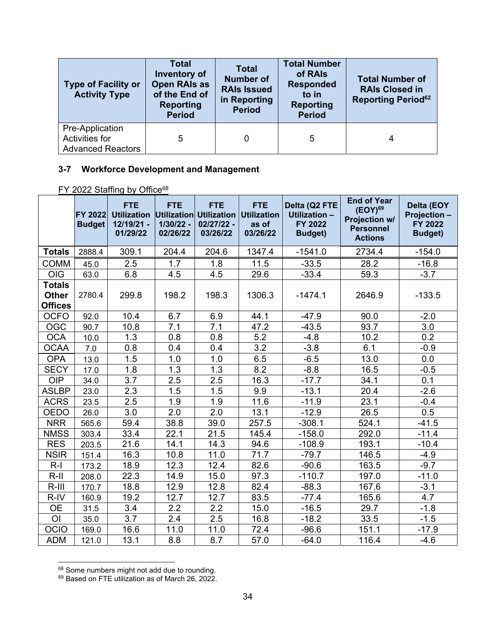| <b>Type of Facility or</b><br><b>Activity Type</b>                   | <b>Total</b><br>Inventory of<br><b>Open RAIs as</b><br>of the End of<br><b>Reporting</b><br><b>Period</b> | <b>Total</b><br><b>Number of</b><br><b>RAIs Issued</b><br>in Reporting<br><b>Period</b> | <b>Total Number</b><br>of RAIs<br><b>Responded</b><br>to in<br><b>Reporting</b><br><b>Period</b> | <b>Total Number of</b><br><b>RAIs Closed in</b><br><b>Reporting Period</b> <sup>62</sup> |
|----------------------------------------------------------------------|-----------------------------------------------------------------------------------------------------------|-----------------------------------------------------------------------------------------|--------------------------------------------------------------------------------------------------|------------------------------------------------------------------------------------------|
| Pre-Application<br><b>Activities for</b><br><b>Advanced Reactors</b> | 5                                                                                                         | 0                                                                                       | 5                                                                                                | 4                                                                                        |

# **3-7 Workforce Development and Management**

# FY 2022 Staffing by Office<sup>68</sup>

|                | <b>FY 2022</b><br><b>Budget</b> | <b>FTE</b><br><b>Utilization</b><br>12/19/21 -<br>01/29/22 | <b>FTE</b><br>1/30/22 -<br>02/26/22 | <b>FTE</b><br>Utilization Utilization<br>02/27/22 -<br>03/26/22 | <b>FTE</b><br><b>Utilization</b><br>as of<br>03/26/22 | Delta (Q2 FTE<br>Utilization -<br>FY 2022<br><b>Budget)</b> | <b>End of Year</b><br>$(EOY)^{69}$<br>Projection w/<br><b>Personnel</b><br><b>Actions</b> | Delta (EOY<br><b>Projection -</b><br>FY 2022<br><b>Budget)</b> |
|----------------|---------------------------------|------------------------------------------------------------|-------------------------------------|-----------------------------------------------------------------|-------------------------------------------------------|-------------------------------------------------------------|-------------------------------------------------------------------------------------------|----------------------------------------------------------------|
| <b>Totals</b>  | 2888.4                          | 309.1                                                      | 204.4                               | 204.6                                                           | 1347.4                                                | $-1541.0$                                                   | 2734.4                                                                                    | $-154.0$                                                       |
| <b>COMM</b>    | 45.0                            | 2.5                                                        | 1.7                                 | 1.8                                                             | 11.5                                                  | $-33.5$                                                     | 28.2                                                                                      | $-16.8$                                                        |
| OIG            | 63.0                            | 6.8                                                        | 4.5                                 | 4.5                                                             | 29.6                                                  | $-33.4$                                                     | 59.3                                                                                      | $-3.7$                                                         |
| <b>Totals</b>  |                                 |                                                            |                                     |                                                                 |                                                       |                                                             |                                                                                           |                                                                |
| <b>Other</b>   | 2780.4                          | 299.8                                                      | 198.2                               | 198.3                                                           | 1306.3                                                | $-1474.1$                                                   | 2646.9                                                                                    | $-133.5$                                                       |
| <b>Offices</b> |                                 |                                                            |                                     |                                                                 |                                                       |                                                             |                                                                                           |                                                                |
| <b>OCFO</b>    | 92.0                            | 10.4                                                       | 6.7                                 | 6.9                                                             | 44.1                                                  | $-47.9$                                                     | 90.0                                                                                      | $-2.0$                                                         |
| <b>OGC</b>     | 90.7                            | 10.8                                                       | 7.1                                 | 7.1                                                             | 47.2                                                  | $-43.5$                                                     | 93.7                                                                                      | 3.0                                                            |
| <b>OCA</b>     | 10.0                            | 1.3                                                        | 0.8                                 | 0.8                                                             | 5.2                                                   | $-4.8$                                                      | 10.2                                                                                      | 0.2                                                            |
| <b>OCAA</b>    | 7.0                             | 0.8                                                        | 0.4                                 | 0.4                                                             | $\overline{3.2}$                                      | $-3.8$                                                      | 6.1                                                                                       | $-0.9$                                                         |
| <b>OPA</b>     | 13.0                            | 1.5                                                        | 1.0                                 | 1.0                                                             | 6.5                                                   | $-6.5$                                                      | 13.0                                                                                      | 0.0                                                            |
| <b>SECY</b>    | 17.0                            | 1.8                                                        | 1.3                                 | 1.3                                                             | 8.2                                                   | $-8.8$                                                      | 16.5                                                                                      | $-0.5$                                                         |
| <b>OIP</b>     | 34.0                            | 3.7                                                        | 2.5                                 | 2.5                                                             | 16.3                                                  | $-17.7$                                                     | 34.1                                                                                      | 0.1                                                            |
| <b>ASLBP</b>   | 23.0                            | 2.3                                                        | 1.5                                 | 1.5                                                             | 9.9                                                   | $-13.1$                                                     | 20.4                                                                                      | $-2.6$                                                         |
| <b>ACRS</b>    | 23.5                            | 2.5                                                        | 1.9                                 | 1.9                                                             | 11.6                                                  | $-11.9$                                                     | 23.1                                                                                      | $-0.4$                                                         |
| <b>OEDO</b>    | 26.0                            | 3.0                                                        | 2.0                                 | 2.0                                                             | 13.1                                                  | $-12.9$                                                     | 26.5                                                                                      | 0.5                                                            |
| <b>NRR</b>     | 565.6                           | 59.4                                                       | 38.8                                | 39.0                                                            | 257.5                                                 | $-308.1$                                                    | 524.1                                                                                     | $-41.5$                                                        |
| <b>NMSS</b>    | 303.4                           | 33.4                                                       | 22.1                                | 21.5                                                            | 145.4                                                 | $-158.0$                                                    | 292.0                                                                                     | $-11.4$                                                        |
| <b>RES</b>     | 203.5                           | 21.6                                                       | 14.1                                | 14.3                                                            | 94.6                                                  | $-108.9$                                                    | 193.1                                                                                     | $-10.4$                                                        |
| <b>NSIR</b>    | 151.4                           | 16.3                                                       | 10.8                                | 11.0                                                            | 71.7                                                  | $-79.7$                                                     | 146.5                                                                                     | $-4.9$                                                         |
| $R-I$          | 173.2                           | 18.9                                                       | 12.3                                | 12.4                                                            | 82.6                                                  | $-90.6$                                                     | 163.5                                                                                     | $-9.7$                                                         |
| $R-II$         | 208.0                           | 22.3                                                       | 14.9                                | 15.0                                                            | 97.3                                                  | $-110.7$                                                    | 197.0                                                                                     | $-11.0$                                                        |
| $R-III$        | 170.7                           | 18.8                                                       | 12.9                                | 12.8                                                            | 82.4                                                  | $-88.3$                                                     | 167.6                                                                                     | $-3.1$                                                         |
| R-IV           | 160.9                           | 19.2                                                       | 12.7                                | 12.7                                                            | 83.5                                                  | $-77.4$                                                     | 165.6                                                                                     | 4.7                                                            |
| <b>OE</b>      | 31.5                            | $\overline{3.4}$                                           | $\overline{2.2}$                    | $\overline{2.2}$                                                | 15.0                                                  | $-16.5$                                                     | 29.7                                                                                      | $-1.8$                                                         |
| O <sub>l</sub> | 35.0                            | 3.7                                                        | 2.4                                 | 2.5                                                             | 16.8                                                  | $-18.2$                                                     | 33.5                                                                                      | $-1.5$                                                         |
| <b>OCIO</b>    | 169.0                           | 16.6                                                       | 11.0                                | 11.0                                                            | 72.4                                                  | $-96.6$                                                     | 151.1                                                                                     | $-17.9$                                                        |
| <b>ADM</b>     | 121.0                           | 13.1                                                       | 8.8                                 | 8.7                                                             | 57.0                                                  | $-64.0$                                                     | 116.4                                                                                     | $-4.6$                                                         |

<sup>68</sup> Some numbers might not add due to rounding.

<sup>69</sup> Based on FTE utilization as of March 26, 2022.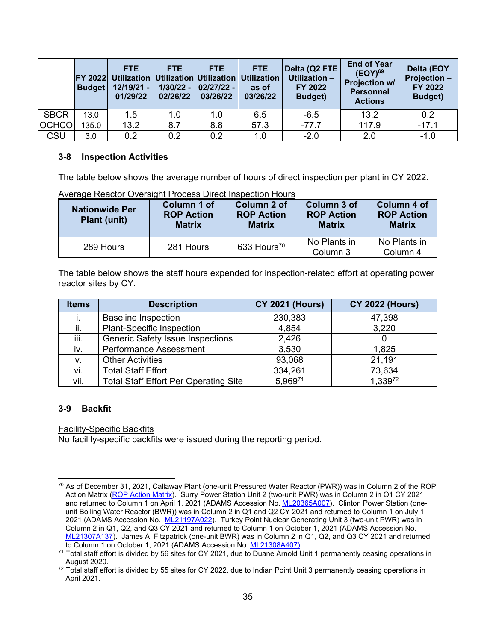|              | <b>Budget</b> | FTE.<br><b>FY 2022 Utilization Utilization Utilization Utilization</b><br>$12/19/21 -$<br>01/29/22 | <b>FTE</b><br>02/26/22 | FTE.<br>$1/30/22 - 02/27/22 -$<br>03/26/22 | <b>FTE</b><br>as of<br>03/26/22 | Delta (Q2 FTE<br>Utilization -<br>FY 2022<br><b>Budget</b> ) | <b>End of Year</b><br>$(EOY)^{69}$<br><b>Projection w/</b><br><b>Personnel</b><br><b>Actions</b> | <b>Delta (EOY</b><br><b>Projection -</b><br>FY 2022<br><b>Budget</b> ) |
|--------------|---------------|----------------------------------------------------------------------------------------------------|------------------------|--------------------------------------------|---------------------------------|--------------------------------------------------------------|--------------------------------------------------------------------------------------------------|------------------------------------------------------------------------|
| <b>SBCR</b>  | 13.0          | 1.5                                                                                                | 1.0                    | 1.0                                        | 6.5                             | $-6.5$                                                       | 13.2                                                                                             | 0.2                                                                    |
| <b>OCHCO</b> | 135.0         | 13.2                                                                                               | 8.7                    | 8.8                                        | 57.3                            | $-77.7$                                                      | 117.9                                                                                            | $-17.1$                                                                |
| <b>CSU</b>   | 3.0           | 0.2                                                                                                | 0.2                    | 0.2                                        | 1.0                             | $-2.0$                                                       | 2.0                                                                                              | $-1.0$                                                                 |

### **3-8 Inspection Activities**

The table below shows the average number of hours of direct inspection per plant in CY 2022.

| <b>Nationwide Per</b><br><b>Plant (unit)</b> | Column 1 of<br><b>ROP Action</b><br><b>Matrix</b> | Column 2 of<br><b>ROP Action</b><br><b>Matrix</b> | Column 3 of<br><b>ROP Action</b><br><b>Matrix</b> | Column 4 of<br><b>ROP Action</b><br><b>Matrix</b> |
|----------------------------------------------|---------------------------------------------------|---------------------------------------------------|---------------------------------------------------|---------------------------------------------------|
| 289 Hours                                    | 281 Hours                                         | 633 Hours <sup>70</sup>                           | No Plants in<br>Column 3                          | No Plants in<br>Column 4                          |

Average Reactor Oversight Process Direct Inspection Hours

The table below shows the staff hours expended for inspection-related effort at operating power reactor sites by CY.

| <b>Items</b> | <b>Description</b>                           | <b>CY 2021 (Hours)</b> | <b>CY 2022 (Hours)</b> |
|--------------|----------------------------------------------|------------------------|------------------------|
|              | <b>Baseline Inspection</b>                   | 230,383                | 47,398                 |
| ii.          | <b>Plant-Specific Inspection</b>             | 4,854                  | 3,220                  |
| iii.         | <b>Generic Safety Issue Inspections</b>      | 2,426                  |                        |
| iv.          | <b>Performance Assessment</b>                | 3,530                  | 1,825                  |
| v.           | <b>Other Activities</b>                      | 93,068                 | 21,191                 |
| vi.          | <b>Total Staff Effort</b>                    | 334,261                | 73,634                 |
| vii.         | <b>Total Staff Effort Per Operating Site</b> | 5.96971                | 1,33972                |

# **3-9 Backfit**

#### Facility-Specific Backfits

No facility-specific backfits were issued during the reporting period.

 $70$  As of December 31, 2021, Callaway Plant (one-unit Pressured Water Reactor (PWR)) was in Column 2 of the ROP Action Matrix (ROP Action Matrix). Surry Power Station Unit 2 (two-unit PWR) was in Column 2 in Q1 CY 2021 and returned to Column 1 on April 1, 2021 (ADAMS Accession No. ML20365A007). Clinton Power Station (oneunit Boiling Water Reactor (BWR)) was in Column 2 in Q1 and Q2 CY 2021 and returned to Column 1 on July 1, 2021 (ADAMS Accession No. ML21197A022). Turkey Point Nuclear Generating Unit 3 (two-unit PWR) was in Column 2 in Q1, Q2, and Q3 CY 2021 and returned to Column 1 on October 1, 2021 (ADAMS Accession No. ML21307A137). James A. Fitzpatrick (one-unit BWR) was in Column 2 in Q1, Q2, and Q3 CY 2021 and returned

to Column 1 on October 1, 2021 (ADAMS Accession No. ML21308A407).<br><sup>71</sup> Total staff effort is divided by 56 sites for CY 2021, due to Duane Arnold Unit 1 permanently ceasing operations in

August 2020.<br><sup>72</sup> Total staff effort is divided by 55 sites for CY 2022, due to Indian Point Unit 3 permanently ceasing operations in April 2021.